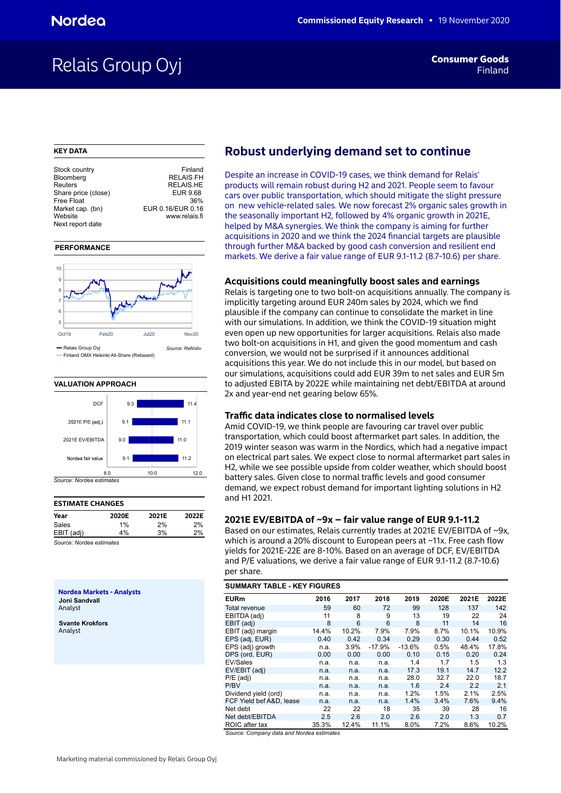# Relais Group Oyj

### **KEY DATA**

| Stock country       | Finland           |
|---------------------|-------------------|
| Bloomberg           | <b>RELAIS FH</b>  |
| Reuters             | <b>RELAIS.HE</b>  |
| Share price (close) | EUR 9.68          |
| Free Float          | 36%               |
| Market cap. (bn)    | EUR 0.16/EUR 0.16 |
| Website             | www.relais.fi     |
| Next report date    |                   |
|                     |                   |

#### **PERFORMANCE**



#### **VALUATION APPROACH**



# **ESTIMATE CHANGES**

| Year                                                      | 2020E | 2021E | 2022E |
|-----------------------------------------------------------|-------|-------|-------|
| Sales                                                     | 1%    | 2%    | 2%    |
| EBIT (adj)                                                | 4%    | 3%    | 2%    |
| $0 \rightarrow \cdots \rightarrow b$ is a set of $\cdots$ |       |       |       |

*Source: Nordea estimates*

**Nordea Markets - Analysts Joni Sandvall** Analyst

**Svante Krokfors** Analyst

# **Robust underlying demand set to continue**

Despite an increase in COVID-19 cases, we think demand for Relais' products will remain robust during H2 and 2021. People seem to favour cars over public transportation, which should mitigate the slight pressure on new vehicle-related sales. We now forecast 2% organic sales growth in the seasonally important H2, followed by 4% organic growth in 2021E, helped by M&A synergies. We think the company is aiming for further acquisitions in 2020 and we think the 2024 financial targets are plausible through further M&A backed by good cash conversion and resilient end markets. We derive a fair value range of EUR 9.1-11.2 (8.7-10.6) per share.

### **Acquisitions could meaningfully boost sales and earnings**

Relais is targeting one to two bolt-on acquisitions annually. The company is implicitly targeting around EUR 240m sales by 2024, which we find plausible if the company can continue to consolidate the market in line with our simulations. In addition, we think the COVID-19 situation might even open up new opportunities for larger acquisitions. Relais also made two bolt-on acquisitions in H1, and given the good momentum and cash conversion, we would not be surprised if it announces additional acquisitions this year. We do not include this in our model, but based on our simulations, acquisitions could add EUR 39m to net sales and EUR 5m to adjusted EBITA by 2022E while maintaining net debt/EBITDA at around 2x and year-end net gearing below 65%.

### **Traffic data indicates close to normalised levels**

Amid COVID-19, we think people are favouring car travel over public transportation, which could boost aftermarket part sales. In addition, the 2019 winter season was warm in the Nordics, which had a negative impact on electrical part sales. We expect close to normal aftermarket part sales in H2, while we see possible upside from colder weather, which should boost battery sales. Given close to normal traffic levels and good consumer demand, we expect robust demand for important lighting solutions in H2 and H1 2021.

### **2021E EV/EBITDA of ~9x – fair value range of EUR 9.1-11.2**

Based on our estimates, Relais currently trades at 2021E EV/EBITDA of ~9x, which is around a 20% discount to European peers at ~11x. Free cash flow yields for 2021E-22E are 8-10%. Based on an average of DCF, EV/EBITDA and P/E valuations, we derive a fair value range of EUR 9.1-11.2 (8.7-10.6) per share.

| <b>SUMMARY TABLE - KEY FIGURES</b> |       |       |          |          |       |       |       |  |  |  |  |
|------------------------------------|-------|-------|----------|----------|-------|-------|-------|--|--|--|--|
| <b>EURm</b>                        | 2016  | 2017  | 2018     | 2019     | 2020E | 2021E | 2022E |  |  |  |  |
| <b>Total revenue</b>               | 59    | 60    | 72       | 99       | 128   | 137   | 142   |  |  |  |  |
| EBITDA (adj)                       | 11    | 8     | 9        | 13       | 19    | 22    | 24    |  |  |  |  |
| EBIT (adj)                         | 8     | 6     | 6        | 8        | 11    | 14    | 16    |  |  |  |  |
| EBIT (adj) margin                  | 14.4% | 10.2% | 7.9%     | 7.9%     | 8.7%  | 10.1% | 10.9% |  |  |  |  |
| EPS (adj, EUR)                     | 0.40  | 0.42  | 0.34     | 0.29     | 0.30  | 0.44  | 0.52  |  |  |  |  |
| EPS (adj) growth                   | n.a.  | 3.9%  | $-17.9%$ | $-13.6%$ | 0.5%  | 48.4% | 17.8% |  |  |  |  |
| DPS (ord, EUR)                     | 0.00  | 0.00  | 0.00     | 0.10     | 0.15  | 0.20  | 0.24  |  |  |  |  |
| EV/Sales                           | n.a.  | n.a.  | n.a.     | 1.4      | 1.7   | 1.5   | 1.3   |  |  |  |  |
| EV/EBIT (adj)                      | n.a.  | n.a.  | n.a.     | 17.3     | 19.1  | 14.7  | 12.2  |  |  |  |  |
| $P/E$ (adj)                        | n.a.  | n.a.  | n.a.     | 28.0     | 32.7  | 22.0  | 18.7  |  |  |  |  |
| P/BV                               | n.a.  | n.a.  | n.a.     | 1.6      | 2.4   | 2.2   | 2.1   |  |  |  |  |
| Dividend yield (ord)               | n.a.  | n.a.  | n.a.     | 1.2%     | 1.5%  | 2.1%  | 2.5%  |  |  |  |  |
| FCF Yield bef A&D, lease           | n.a.  | n.a.  | n.a.     | 1.4%     | 3.4%  | 7.6%  | 9.4%  |  |  |  |  |
| Net debt                           | 22    | 22    | 18       | 35       | 39    | 28    | 16    |  |  |  |  |
| Net debt/EBITDA                    | 2.5   | 2.6   | 2.0      | 2.6      | 2.0   | 1.3   | 0.7   |  |  |  |  |
| ROIC after tax                     | 35.3% | 12.4% | 11.1%    | 8.0%     | 7.2%  | 8.6%  | 10.2% |  |  |  |  |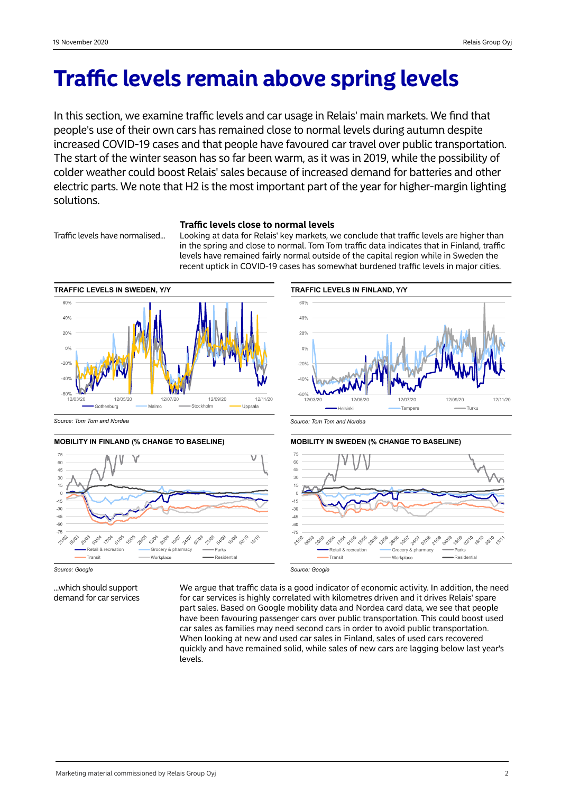# **Traffic levels remain above spring levels**

In this section, we examine traffic levels and car usage in Relais' main markets. We find that people's use of their own cars has remained close to normal levels during autumn despite increased COVID-19 cases and that people have favoured car travel over public transportation. The start of the winter season has so far been warm, as it was in 2019, while the possibility of colder weather could boost Relais' sales because of increased demand for batteries and other electric parts. We note that H2 is the most important part of the year for higher-margin lighting solutions.

# **Traffic levels close to normal levels**

Traffic levels have normalised... Looking at data for Relais' key markets, we conclude that traffic levels are higher than in the spring and close to normal. Tom Tom traffic data indicates that in Finland, traffic levels have remained fairly normal outside of the capital region while in Sweden the recent uptick in COVID-19 cases has somewhat burdened traffic levels in major cities.



*Source: Tom Tom and Nordea*







*Source: Tom Tom and Nordea*





...which should support demand for car services We argue that traffic data is a good indicator of economic activity. In addition, the need for car services is highly correlated with kilometres driven and it drives Relais' spare part sales. Based on Google mobility data and Nordea card data, we see that people have been favouring passenger cars over public transportation. This could boost used car sales as families may need second cars in order to avoid public transportation. When looking at new and used car sales in Finland, sales of used cars recovered quickly and have remained solid, while sales of new cars are lagging below last year's levels.

*Source: Google*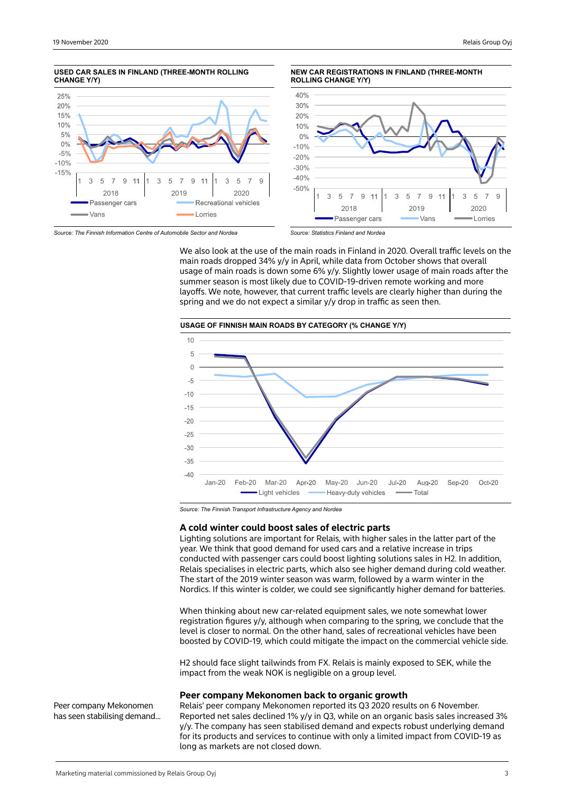

*Source: The Finnish Information Centre of Automobile Sector and Nordea*

*Source: Statistics Finland and Nordea*

We also look at the use of the main roads in Finland in 2020. Overall traffic levels on the main roads dropped 34% y/y in April, while data from October shows that overall usage of main roads is down some 6% y/y. Slightly lower usage of main roads after the summer season is most likely due to COVID-19-driven remote working and more layoffs. We note, however, that current traffic levels are clearly higher than during the spring and we do not expect a similar y/y drop in traffic as seen then.



*Source: The Finnish Transport Infrastructure Agency and Nordea*

#### **A cold winter could boost sales of electric parts**

Lighting solutions are important for Relais, with higher sales in the latter part of the year. We think that good demand for used cars and a relative increase in trips conducted with passenger cars could boost lighting solutions sales in H2. In addition, Relais specialises in electric parts, which also see higher demand during cold weather. The start of the 2019 winter season was warm, followed by a warm winter in the Nordics. If this winter is colder, we could see significantly higher demand for batteries.

When thinking about new car-related equipment sales, we note somewhat lower registration figures y/y, although when comparing to the spring, we conclude that the level is closer to normal. On the other hand, sales of recreational vehicles have been boosted by COVID-19, which could mitigate the impact on the commercial vehicle side.

H2 should face slight tailwinds from FX. Relais is mainly exposed to SEK, while the impact from the weak NOK is negligible on a group level.

### **Peer company Mekonomen back to organic growth**

Relais' peer company Mekonomen reported its Q3 2020 results on 6 November. Reported net sales declined 1% y/y in Q3, while on an organic basis sales increased 3% y/y. The company has seen stabilised demand and expects robust underlying demand for its products and services to continue with only a limited impact from COVID-19 as long as markets are not closed down.

Peer company Mekonomen has seen stabilising demand...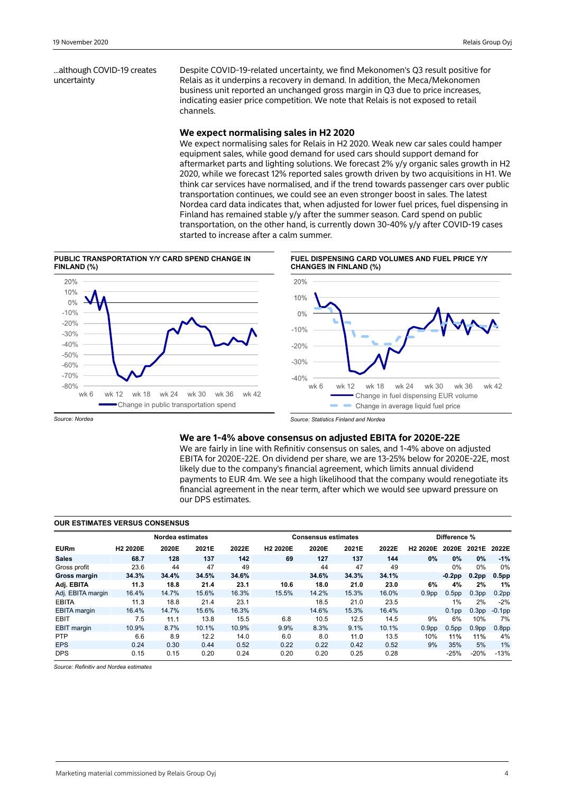...although COVID-19 creates uncertainty

Despite COVID-19-related uncertainty, we find Mekonomen's Q3 result positive for Relais as it underpins a recovery in demand. In addition, the Meca/Mekonomen business unit reported an unchanged gross margin in Q3 due to price increases, indicating easier price competition. We note that Relais is not exposed to retail channels.

### **We expect normalising sales in H2 2020**

We expect normalising sales for Relais in H2 2020. Weak new car sales could hamper equipment sales, while good demand for used cars should support demand for aftermarket parts and lighting solutions. We forecast 2% y/y organic sales growth in H2 2020, while we forecast 12% reported sales growth driven by two acquisitions in H1. We think car services have normalised, and if the trend towards passenger cars over public transportation continues, we could see an even stronger boost in sales. The latest Nordea card data indicates that, when adjusted for lower fuel prices, fuel dispensing in Finland has remained stable y/y after the summer season. Card spend on public transportation, on the other hand, is currently down 30-40% y/y after COVID-19 cases started to increase after a calm summer.









*Source: Statistics Finland and Nordea*

### **We are 1-4% above consensus on adjusted EBITA for 2020E-22E**

We are fairly in line with Refinitiv consensus on sales, and 1-4% above on adjusted EBITA for 2020E-22E. On dividend per share, we are 13-25% below for 2020E-22E, most likely due to the company's financial agreement, which limits annual dividend payments to EUR 4m. We see a high likelihood that the company would renegotiate its financial agreement in the near term, after which we would see upward pressure on our DPS estimates.

| <b>OUR ESTIMATES VERSUS CONSENSUS</b> |                      |       |       |                            |                      |       |       |              |                      |                   |                   |                   |
|---------------------------------------|----------------------|-------|-------|----------------------------|----------------------|-------|-------|--------------|----------------------|-------------------|-------------------|-------------------|
|                                       |                      |       |       | <b>Consensus estimates</b> |                      |       |       | Difference % |                      |                   |                   |                   |
| <b>EURm</b>                           | H <sub>2</sub> 2020E | 2020E | 2021E | 2022E                      | H <sub>2</sub> 2020E | 2020E | 2021E | 2022E        | H <sub>2</sub> 2020E | 2020E             | 2021E             | 2022E             |
| <b>Sales</b>                          | 68.7                 | 128   | 137   | 142                        | 69                   | 127   | 137   | 144          | $0\%$                | $0\%$             | 0%                | $-1%$             |
| Gross profit                          | 23.6                 | 44    | 47    | 49                         |                      | 44    | 47    | 49           |                      | 0%                | 0%                | 0%                |
| <b>Gross margin</b>                   | 34.3%                | 34.4% | 34.5% | 34.6%                      |                      | 34.6% | 34.3% | 34.1%        |                      | $-0.2$ pp         | 0.2 <sub>pp</sub> | 0.5 <sub>pr</sub> |
| Adj. EBITA                            | 11.3                 | 18.8  | 21.4  | 23.1                       | 10.6                 | 18.0  | 21.0  | 23.0         | 6%                   | 4%                | 2%                | 1%                |
| Adj. EBITA margin                     | 16.4%                | 14.7% | 15.6% | 16.3%                      | 15.5%                | 14.2% | 15.3% | 16.0%        | 0.9 <sub>pp</sub>    | 0.5 <sub>pp</sub> | 0.3 <sub>pp</sub> | 0.2 <sub>pr</sub> |
| EBITA                                 | 11.3                 | 18.8  | 21.4  | 23.1                       |                      | 18.5  | 21.0  | 23.5         |                      | 1%                | 2%                | $-2%$             |
| <b>EBITA</b> margin                   | 16.4%                | 14.7% | 15.6% | 16.3%                      |                      | 14.6% | 15.3% | 16.4%        |                      | 0.1 <sub>pp</sub> | 0.3 <sub>pp</sub> | $-0.1$ pp         |
| <b>EBIT</b>                           | 7.5                  | 11.1  | 13.8  | 15.5                       | 6.8                  | 10.5  | 12.5  | 14.5         | 9%                   | 6%                | 10%               | 7%                |
| <b>EBIT</b> margin                    | 10.9%                | 8.7%  | 10.1% | 10.9%                      | 9.9%                 | 8.3%  | 9.1%  | 10.1%        | 0.9 <sub>pp</sub>    | 0.5 <sub>pp</sub> | 0.9 <sub>pp</sub> | 0.8 <sub>pr</sub> |
| <b>PTP</b>                            | 6.6                  | 8.9   | 12.2  | 14.0                       | 6.0                  | 8.0   | 11.0  | 13.5         | 10%                  | 11%               | 11%               | 4%                |
| <b>EPS</b>                            | 0.24                 | 0.30  | 0.44  | 0.52                       | 0.22                 | 0.22  | 0.42  | 0.52         | 9%                   | 35%               | 5%                | 1%                |
| <b>DPS</b>                            | 0.15                 | 0.15  | 0.20  | 0.24                       | 0.20                 | 0.20  | 0.25  | 0.28         |                      | $-25%$            | $-20%$            | $-13%$            |

*Source: Refinitiv and Nordea estimates*

*Source: Nordea*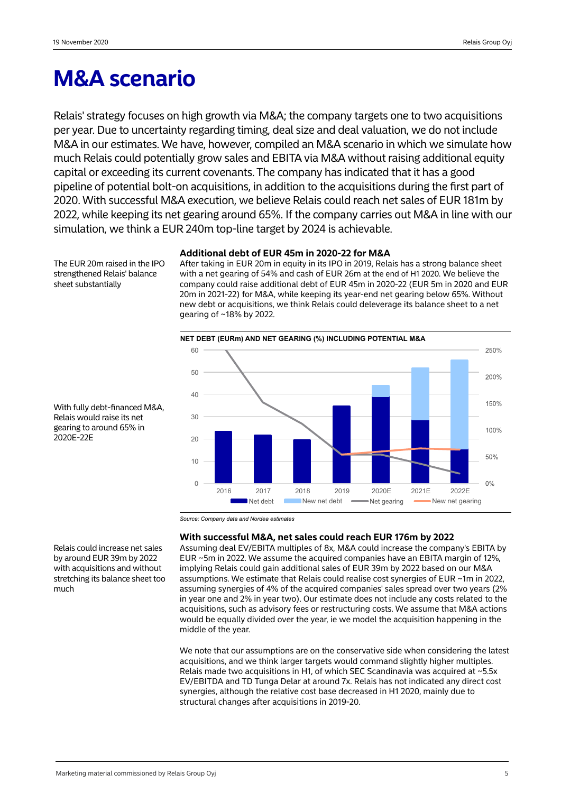# **M&A scenario**

Relais' strategy focuses on high growth via M&A; the company targets one to two acquisitions per year. Due to uncertainty regarding timing, deal size and deal valuation, we do not include M&A in our estimates. We have, however, compiled an M&A scenario in which we simulate how much Relais could potentially grow sales and EBITA via M&A without raising additional equity capital or exceeding its current covenants. The company has indicated that it has a good pipeline of potential bolt-on acquisitions, in addition to the acquisitions during the first part of 2020. With successful M&A execution, we believe Relais could reach net sales of EUR 181m by 2022, while keeping its net gearing around 65%. If the company carries out M&A in line with our simulation, we think a EUR 240m top-line target by 2024 is achievable.

The EUR 20m raised in the IPO strengthened Relais' balance sheet substantially

# **Additional debt of EUR 45m in 2020-22 for M&A**

After taking in EUR 20m in equity in its IPO in 2019, Relais has a strong balance sheet with a net gearing of 54% and cash of EUR 26m at the end of H1 2020. We believe the company could raise additional debt of EUR 45m in 2020-22 (EUR 5m in 2020 and EUR 20m in 2021-22) for M&A, while keeping its year-end net gearing below 65%. Without new debt or acquisitions, we think Relais could deleverage its balance sheet to a net gearing of ~18% by 2022.



With fully debt-financed M&A, Relais would raise its net gearing to around 65% in 2020E-22E

*Source: Company data and Nordea estimates*

# **With successful M&A, net sales could reach EUR 176m by 2022**

Assuming deal EV/EBITA multiples of 8x, M&A could increase the company's EBITA by EUR ~5m in 2022. We assume the acquired companies have an EBITA margin of 12%, implying Relais could gain additional sales of EUR 39m by 2022 based on our M&A assumptions. We estimate that Relais could realise cost synergies of EUR ~1m in 2022, assuming synergies of 4% of the acquired companies' sales spread over two years (2% in year one and 2% in year two). Our estimate does not include any costs related to the acquisitions, such as advisory fees or restructuring costs. We assume that M&A actions would be equally divided over the year, ie we model the acquisition happening in the middle of the year.

We note that our assumptions are on the conservative side when considering the latest acquisitions, and we think larger targets would command slightly higher multiples. Relais made two acquisitions in H1, of which SEC Scandinavia was acquired at  $\sim$  5.5x EV/EBITDA and TD Tunga Delar at around 7x. Relais has not indicated any direct cost synergies, although the relative cost base decreased in H1 2020, mainly due to structural changes after acquisitions in 2019-20.

Relais could increase net sales by around EUR 39m by 2022 with acquisitions and without stretching its balance sheet too much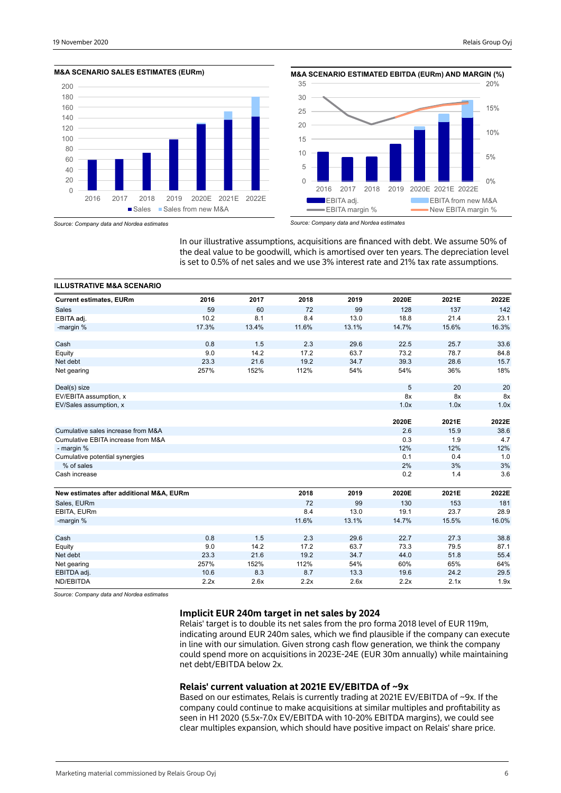



*Source: Company data and Nordea estimates*

*Source: Company data and Nordea estimates*

In our illustrative assumptions, acquisitions are financed with debt. We assume 50% of the deal value to be goodwill, which is amortised over ten years. The depreciation level is set to 0.5% of net sales and we use 3% interest rate and 21% tax rate assumptions.

| <b>ILLUSTRATIVE M&amp;A SCENARIO</b>     |       |       |       |       |       |       |       |
|------------------------------------------|-------|-------|-------|-------|-------|-------|-------|
| <b>Current estimates, EURm</b>           | 2016  | 2017  | 2018  | 2019  | 2020E | 2021E | 2022E |
| <b>Sales</b>                             | 59    | 60    | 72    | 99    | 128   | 137   | 142   |
| EBITA adi.                               | 10.2  | 8.1   | 8.4   | 13.0  | 18.8  | 21.4  | 23.1  |
| -margin %                                | 17.3% | 13.4% | 11.6% | 13.1% | 14.7% | 15.6% | 16.3% |
| Cash                                     | 0.8   | 1.5   | 2.3   | 29.6  | 22.5  | 25.7  | 33.6  |
| Equity                                   | 9.0   | 14.2  | 17.2  | 63.7  | 73.2  | 78.7  | 84.8  |
| Net debt                                 | 23.3  | 21.6  | 19.2  | 34.7  | 39.3  | 28.6  | 15.7  |
| Net gearing                              | 257%  | 152%  | 112%  | 54%   | 54%   | 36%   | 18%   |
| Deal(s) size                             |       |       |       |       | 5     | 20    | 20    |
| EV/EBITA assumption, x                   |       |       |       |       | 8x    | 8x    | 8x    |
| EV/Sales assumption, x                   |       |       |       |       | 1.0x  | 1.0x  | 1.0x  |
|                                          |       |       |       |       | 2020E | 2021E | 2022E |
| Cumulative sales increase from M&A       |       |       |       |       | 2.6   | 15.9  | 38.6  |
| Cumulative EBITA increase from M&A       |       |       |       |       | 0.3   | 1.9   | 4.7   |
| - margin %                               |       |       |       |       | 12%   | 12%   | 12%   |
| Cumulative potential synergies           |       |       |       |       | 0.1   | 0.4   | 1.0   |
| % of sales                               |       |       |       |       | 2%    | 3%    | 3%    |
| Cash increase                            |       |       |       |       | 0.2   | 1.4   | 3.6   |
| New estimates after additional M&A, EURm |       |       | 2018  | 2019  | 2020E | 2021E | 2022E |
| Sales, EURm                              |       |       | 72    | 99    | 130   | 153   | 181   |
| EBITA, EURm                              |       |       | 8.4   | 13.0  | 19.1  | 23.7  | 28.9  |
| -margin %                                |       |       | 11.6% | 13.1% | 14.7% | 15.5% | 16.0% |
| Cash                                     | 0.8   | 1.5   | 2.3   | 29.6  | 22.7  | 27.3  | 38.8  |
| Equity                                   | 9.0   | 14.2  | 17.2  | 63.7  | 73.3  | 79.5  | 87.1  |
| Net debt                                 | 23.3  | 21.6  | 19.2  | 34.7  | 44.0  | 51.8  | 55.4  |
| Net gearing                              | 257%  | 152%  | 112%  | 54%   | 60%   | 65%   | 64%   |
| EBITDA adj.                              | 10.6  | 8.3   | 8.7   | 13.3  | 19.6  | 24.2  | 29.5  |
| ND/EBITDA                                | 2.2x  | 2.6x  | 2.2x  | 2.6x  | 2.2x  | 2.1x  | 1.9x  |

*Source: Company data and Nordea estimates*

# **Implicit EUR 240m target in net sales by 2024**

Relais' target is to double its net sales from the pro forma 2018 level of EUR 119m, indicating around EUR 240m sales, which we find plausible if the company can execute in line with our simulation. Given strong cash flow generation, we think the company could spend more on acquisitions in 2023E-24E (EUR 30m annually) while maintaining net debt/EBITDA below 2x.

# **Relais' current valuation at 2021E EV/EBITDA of ~9x**

Based on our estimates, Relais is currently trading at 2021E EV/EBITDA of ~9x. If the company could continue to make acquisitions at similar multiples and profitability as seen in H1 2020 (5.5x-7.0x EV/EBITDA with 10-20% EBITDA margins), we could see clear multiples expansion, which should have positive impact on Relais' share price.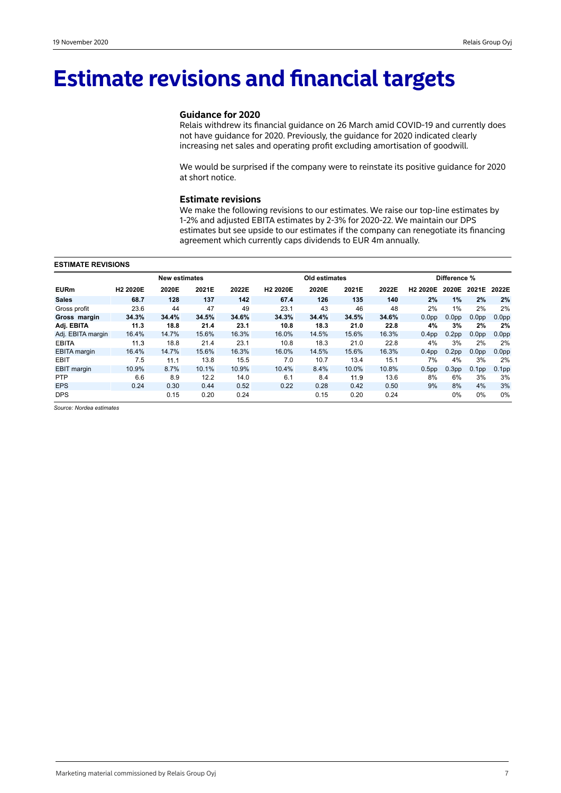# **Estimate revisions and financial targets**

# **Guidance for 2020**

Relais withdrew its financial guidance on 26 March amid COVID-19 and currently does not have guidance for 2020. Previously, the guidance for 2020 indicated clearly increasing net sales and operating profit excluding amortisation of goodwill.

We would be surprised if the company were to reinstate its positive guidance for 2020 at short notice.

## **Estimate revisions**

We make the following revisions to our estimates. We raise our top-line estimates by 1-2% and adjusted EBITA estimates by 2-3% for 2020-22. We maintain our DPS estimates but see upside to our estimates if the company can renegotiate its financing agreement which currently caps dividends to EUR 4m annually.

#### **ESTIMATE REVISIONS**

|                     | <b>New estimates</b> |       |       |       |                      | Old estimates |       |       |                   | Difference %      |                   |                   |  |
|---------------------|----------------------|-------|-------|-------|----------------------|---------------|-------|-------|-------------------|-------------------|-------------------|-------------------|--|
| <b>EURm</b>         | H <sub>2</sub> 2020E | 2020E | 2021E | 2022E | H <sub>2</sub> 2020E | 2020E         | 2021E | 2022E | <b>H2 2020E</b>   | 2020E             | 2021E             | 2022E             |  |
| <b>Sales</b>        | 68.7                 | 128   | 137   | 142   | 67.4                 | 126           | 135   | 140   | 2%                | 1%                | 2%                | 2%                |  |
| Gross profit        | 23.6                 | 44    | 47    | 49    | 23.1                 | 43            | 46    | 48    | 2%                | $1\%$             | 2%                | 2%                |  |
| Gross margin        | 34.3%                | 34.4% | 34.5% | 34.6% | 34.3%                | 34.4%         | 34.5% | 34.6% | 0.0 <sub>pp</sub> | 0.0 <sub>pp</sub> | 0.0 <sub>pp</sub> | 0.0 <sub>pp</sub> |  |
| Adj. EBITA          | 11.3                 | 18.8  | 21.4  | 23.1  | 10.8                 | 18.3          | 21.0  | 22.8  | 4%                | 3%                | 2%                | 2%                |  |
| Adj. EBITA margin   | 16.4%                | 14.7% | 15.6% | 16.3% | 16.0%                | 14.5%         | 15.6% | 16.3% | 0.4 <sub>pp</sub> | 0.2 <sub>pp</sub> | 0.0 <sub>pp</sub> | 0.0 <sub>pp</sub> |  |
| <b>EBITA</b>        | 11.3                 | 18.8  | 21.4  | 23.1  | 10.8                 | 18.3          | 21.0  | 22.8  | 4%                | 3%                | 2%                | 2%                |  |
| <b>EBITA</b> margin | 16.4%                | 14.7% | 15.6% | 16.3% | 16.0%                | 14.5%         | 15.6% | 16.3% | 0.4 <sub>pp</sub> | 0.2 <sub>pp</sub> | 0.0 <sub>pp</sub> | 0.0 <sub>pp</sub> |  |
| <b>EBIT</b>         | 7.5                  | 11.1  | 13.8  | 15.5  | 7.0                  | 10.7          | 13.4  | 15.1  | 7%                | 4%                | 3%                | 2%                |  |
| <b>EBIT</b> margin  | 10.9%                | 8.7%  | 10.1% | 10.9% | 10.4%                | 8.4%          | 10.0% | 10.8% | 0.5 <sub>pp</sub> | 0.3 <sub>pp</sub> | 0.1 <sub>pp</sub> | 0.1 <sub>pp</sub> |  |
| <b>PTP</b>          | 6.6                  | 8.9   | 12.2  | 14.0  | 6.1                  | 8.4           | 11.9  | 13.6  | 8%                | 6%                | 3%                | 3%                |  |
| <b>EPS</b>          | 0.24                 | 0.30  | 0.44  | 0.52  | 0.22                 | 0.28          | 0.42  | 0.50  | 9%                | 8%                | 4%                | 3%                |  |
| <b>DPS</b>          |                      | 0.15  | 0.20  | 0.24  |                      | 0.15          | 0.20  | 0.24  |                   | 0%                | 0%                | 0%                |  |

*Source: Nordea estimates*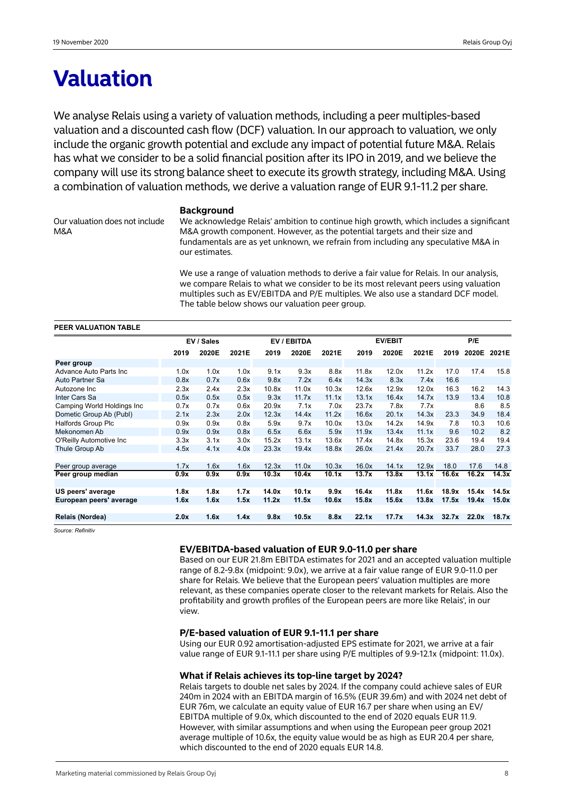# **Valuation**

We analyse Relais using a variety of valuation methods, including a peer multiples-based valuation and a discounted cash flow (DCF) valuation. In our approach to valuation, we only include the organic growth potential and exclude any impact of potential future M&A. Relais has what we consider to be a solid financial position after its IPO in 2019, and we believe the company will use its strong balance sheet to execute its growth strategy, including M&A. Using a combination of valuation methods, we derive a valuation range of EUR 9.1-11.2 per share.

**Background**

Our valuation does not include M&A

We acknowledge Relais' ambition to continue high growth, which includes a significant M&A growth component. However, as the potential targets and their size and fundamentals are as yet unknown, we refrain from including any speculative M&A in our estimates.

We use a range of valuation methods to derive a fair value for Relais. In our analysis, we compare Relais to what we consider to be its most relevant peers using valuation multiples such as EV/EBITDA and P/E multiples. We also use a standard DCF model. The table below shows our valuation peer group.

| PEER VALUATION TABLE       |      |            |       |       |             |       |       |                |       |       |             |       |
|----------------------------|------|------------|-------|-------|-------------|-------|-------|----------------|-------|-------|-------------|-------|
|                            |      | EV / Sales |       |       | EV / EBITDA |       |       | <b>EV/EBIT</b> |       |       | P/E         |       |
|                            | 2019 | 2020E      | 2021E | 2019  | 2020E       | 2021E | 2019  | 2020E          | 2021E | 2019  | 2020E 2021E |       |
| Peer group                 |      |            |       |       |             |       |       |                |       |       |             |       |
| Advance Auto Parts Inc.    | 1.0x | 1.0x       | 1.0x  | 9.1x  | 9.3x        | 8.8x  | 11.8x | 12.0x          | 11.2x | 17.0  | 17.4        | 15.8  |
| Auto Partner Sa            | 0.8x | 0.7x       | 0.6x  | 9.8x  | 7.2x        | 6.4x  | 14.3x | 8.3x           | 7.4x  | 16.6  |             |       |
| Autozone Inc               | 2.3x | 2.4x       | 2.3x  | 10.8x | 11.0x       | 10.3x | 12.6x | 12.9x          | 12.0x | 16.3  | 16.2        | 14.3  |
| Inter Cars Sa              | 0.5x | 0.5x       | 0.5x  | 9.3x  | 11.7x       | 11.1x | 13.1x | 16.4x          | 14.7x | 13.9  | 13.4        | 10.8  |
| Camping World Holdings Inc | 0.7x | 0.7x       | 0.6x  | 20.9x | 7.1x        | 7.0x  | 23.7x | 7.8x           | 7.7x  |       | 8.6         | 8.5   |
| Dometic Group Ab (Publ)    | 2.1x | 2.3x       | 2.0x  | 12.3x | 14.4x       | 11.2x | 16.6x | 20.1x          | 14.3x | 23.3  | 34.9        | 18.4  |
| <b>Halfords Group Plc</b>  | 0.9x | 0.9x       | 0.8x  | 5.9x  | 9.7x        | 10.0x | 13.0x | 14.2x          | 14.9x | 7.8   | 10.3        | 10.6  |
| Mekonomen Ab               | 0.9x | 0.9x       | 0.8x  | 6.5x  | 6.6x        | 5.9x  | 11.9x | 13.4x          | 11.1x | 9.6   | 10.2        | 8.2   |
| O'Reilly Automotive Inc.   | 3.3x | 3.1x       | 3.0x  | 15.2x | 13.1x       | 13.6x | 17.4x | 14.8x          | 15.3x | 23.6  | 19.4        | 19.4  |
| Thule Group Ab             | 4.5x | 4.1x       | 4.0x  | 23.3x | 19.4x       | 18.8x | 26.0x | 21.4x          | 20.7x | 33.7  | 28.0        | 27.3  |
|                            |      |            |       |       |             |       |       |                |       |       |             |       |
| Peer group average         | 1.7x | 1.6x       | 1.6x  | 12.3x | 11.0x       | 10.3x | 16.0x | 14.1x          | 12.9x | 18.0  | 17.6        | 14.8  |
| Peer group median          | 0.9x | 0.9x       | 0.9x  | 10.3x | 10.4x       | 10.1x | 13.7x | 13.8x          | 13.1x | 16.6x | 16.2x       | 14.3x |
|                            |      |            |       |       |             |       |       |                |       |       |             |       |
| US peers' average          | 1.8x | 1.8x       | 1.7x  | 14.0x | 10.1x       | 9.9x  | 16.4x | 11.8x          | 11.6x | 18.9x | 15.4x       | 14.5x |
| European peers' average    | 1.6x | 1.6x       | 1.5x  | 11.2x | 11.5x       | 10.6x | 15.8x | 15.6x          | 13.8x | 17.5x | 19.4x       | 15.0x |
|                            |      |            |       |       |             |       |       |                |       |       |             |       |
| Relais (Nordea)            | 2.0x | 1.6x       | 1.4x  | 9.8x  | 10.5x       | 8.8x  | 22.1x | 17.7x          | 14.3x | 32.7x | 22.0x       | 18.7x |

*Source: Refinitiv*

### **EV/EBITDA-based valuation of EUR 9.0-11.0 per share**

Based on our EUR 21.8m EBITDA estimates for 2021 and an accepted valuation multiple range of 8.2-9.8x (midpoint: 9.0x), we arrive at a fair value range of EUR 9.0-11.0 per share for Relais. We believe that the European peers' valuation multiples are more relevant, as these companies operate closer to the relevant markets for Relais. Also the profitability and growth profiles of the European peers are more like Relais', in our view.

### **P/E-based valuation of EUR 9.1-11.1 per share**

Using our EUR 0.92 amortisation-adjusted EPS estimate for 2021, we arrive at a fair value range of EUR 9.1-11.1 per share using P/E multiples of 9.9-12.1x (midpoint: 11.0x).

### **What if Relais achieves its top-line target by 2024?**

Relais targets to double net sales by 2024. If the company could achieve sales of EUR 240m in 2024 with an EBITDA margin of 16.5% (EUR 39.6m) and with 2024 net debt of EUR 76m, we calculate an equity value of EUR 16.7 per share when using an EV/ EBITDA multiple of 9.0x, which discounted to the end of 2020 equals EUR 11.9. However, with similar assumptions and when using the European peer group 2021 average multiple of 10.6x, the equity value would be as high as EUR 20.4 per share, which discounted to the end of 2020 equals EUR 14.8.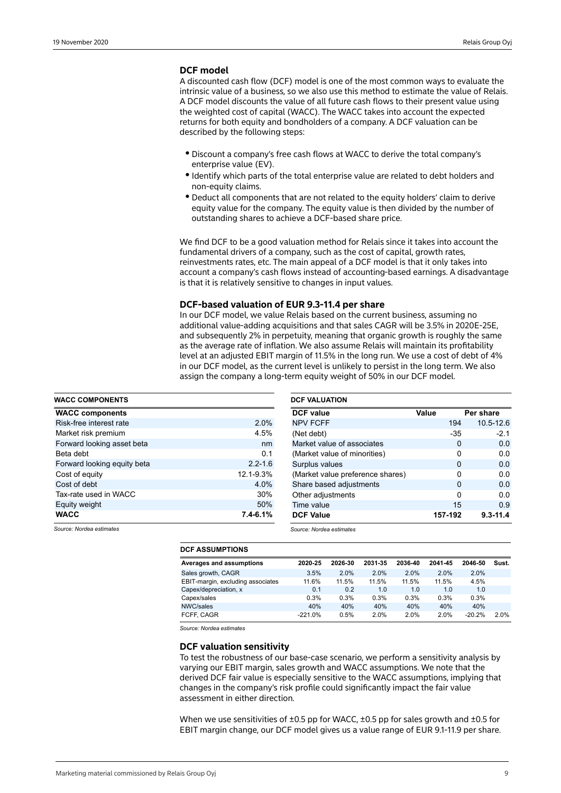# **DCF model**

A discounted cash flow (DCF) model is one of the most common ways to evaluate the intrinsic value of a business, so we also use this method to estimate the value of Relais. A DCF model discounts the value of all future cash flows to their present value using the weighted cost of capital (WACC). The WACC takes into account the expected returns for both equity and bondholders of a company. A DCF valuation can be described by the following steps:

- · Discount a company's free cash flows at WACC to derive the total company's enterprise value (EV).
- $\bullet$  Identify which parts of the total enterprise value are related to debt holders and non-equity claims.
- $\bullet$  Deduct all components that are not related to the equity holders' claim to derive equity value for the company. The equity value is then divided by the number of outstanding shares to achieve a DCF-based share price.

We find DCF to be a good valuation method for Relais since it takes into account the fundamental drivers of a company, such as the cost of capital, growth rates, reinvestments rates, etc. The main appeal of a DCF model is that it only takes into account a company's cash flows instead of accounting-based earnings. A disadvantage is that it is relatively sensitive to changes in input values.

# **DCF-based valuation of EUR 9.3-11.4 per share**

In our DCF model, we value Relais based on the current business, assuming no additional value-adding acquisitions and that sales CAGR will be 3.5% in 2020E-25E, and subsequently 2% in perpetuity, meaning that organic growth is roughly the same as the average rate of inflation. We also assume Relais will maintain its profitability level at an adjusted EBIT margin of 11.5% in the long run. We use a cost of debt of 4% in our DCF model, as the current level is unlikely to persist in the long term. We also assign the company a long-term equity weight of 50% in our DCF model.

| <b>WACC COMPONENTS</b>      |              |
|-----------------------------|--------------|
| <b>WACC components</b>      |              |
| Risk-free interest rate     | 2.0%         |
| Market risk premium         | 4.5%         |
| Forward looking asset beta  | nm           |
| Beta debt                   | 0.1          |
| Forward looking equity beta | $2.2 - 1.6$  |
| Cost of equity              | 12.1-9.3%    |
| Cost of debt                | 4.0%         |
| Tax-rate used in WACC       | 30%          |
| Equity weight               | 50%          |
| <b>WACC</b>                 | $7.4 - 6.1%$ |

| <b>DCF</b> value                 | Value |         | Per share    |
|----------------------------------|-------|---------|--------------|
| <b>NPV FCFF</b>                  |       | 194     | 10.5-12.6    |
| (Net debt)                       |       | $-35$   | $-2.1$       |
| Market value of associates       |       | 0       | 0.0          |
| (Market value of minorities)     |       | 0       | 0.0          |
| Surplus values                   |       | 0       | 0.0          |
| (Market value preference shares) |       | 0       | 0.0          |
| Share based adjustments          |       | 0       | 0.0          |
| Other adjustments                |       | ŋ       | 0.0          |
| Time value                       |       | 15      | 0.9          |
| <b>DCF Value</b>                 |       | 157-192 | $9.3 - 11.4$ |

*Source: Nordea estimates*

# **DCF ASSUMPTIONS**

| <b>Averages and assumptions</b>   | 2020-25   | 2026-30 | 2031-35 | 2036-40 | 2041-45 | 2046-50  | Sust. |
|-----------------------------------|-----------|---------|---------|---------|---------|----------|-------|
| Sales growth, CAGR                | 3.5%      | 2.0%    | 2.0%    | 2.0%    | 2.0%    | 2.0%     |       |
| EBIT-margin, excluding associates | 11.6%     | 11.5%   | 11.5%   | 11.5%   | 11.5%   | 4.5%     |       |
| Capex/depreciation, x             | 0.1       | 0.2     | 1.0     | 1.0     | 1.0     | 1.0      |       |
| Capex/sales                       | 0.3%      | 0.3%    | 0.3%    | 0.3%    | 0.3%    | 0.3%     |       |
| NWC/sales                         | 40%       | 40%     | 40%     | 40%     | 40%     | 40%      |       |
| FCFF. CAGR                        | $-221.0%$ | 0.5%    | 2.0%    | 2.0%    | 2.0%    | $-20.2%$ | 2.0%  |

*Source: Nordea estimates*

### **DCF valuation sensitivity**

To test the robustness of our base-case scenario, we perform a sensitivity analysis by varying our EBIT margin, sales growth and WACC assumptions. We note that the derived DCF fair value is especially sensitive to the WACC assumptions, implying that changes in the company's risk profile could significantly impact the fair value assessment in either direction.

When we use sensitivities of  $\pm 0.5$  pp for WACC,  $\pm 0.5$  pp for sales growth and  $\pm 0.5$  for EBIT margin change, our DCF model gives us a value range of EUR 9.1-11.9 per share.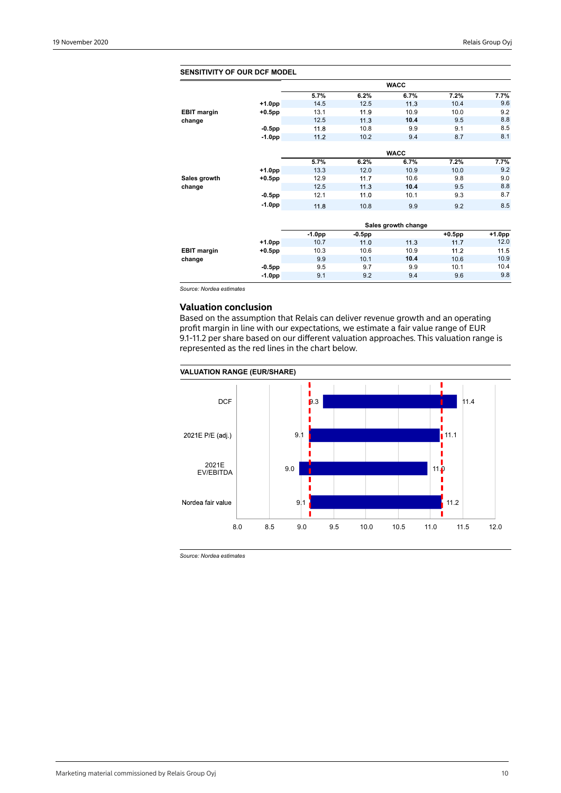| <b>SENSITIVITY OF OUR DCF MODEL</b> |           |          |           |                     |           |        |
|-------------------------------------|-----------|----------|-----------|---------------------|-----------|--------|
|                                     |           |          |           | <b>WACC</b>         |           |        |
|                                     |           | 5.7%     | 6.2%      | 6.7%                | 7.2%      | 7.7%   |
|                                     | $+1.0pp$  | 14.5     | 12.5      | 11.3                | 10.4      | 9.6    |
| <b>EBIT margin</b>                  | $+0.5$ pp | 13.1     | 11.9      | 10.9                | 10.0      | 9.2    |
| change                              |           | 12.5     | 11.3      | 10.4                | 9.5       | 8.8    |
|                                     | $-0.5$ pp | 11.8     | 10.8      | 9.9                 | 9.1       | 8.5    |
|                                     | $-1.0pp$  | 11.2     | 10.2      | 9.4                 | 8.7       | 8.1    |
|                                     |           |          |           | <b>WACC</b>         |           |        |
|                                     |           | 5.7%     | 6.2%      | 6.7%                | 7.2%      | 7.7%   |
|                                     | $+1.0pp$  | 13.3     | 12.0      | 10.9                | 10.0      | 9.2    |
|                                     | $+0.5$ pp | 12.9     | 11.7      | 10.6                | 9.8       | 9.0    |
| Sales growth<br>change              |           | 12.5     | 11.3      | 10.4                | 9.5       | 8.8    |
|                                     | $-0.5$ pp | 12.1     | 11.0      | 10.1                | 9.3       | 8.7    |
|                                     | $-1.0pp$  | 11.8     | 10.8      | 9.9                 | 9.2       | 8.5    |
|                                     |           |          |           |                     |           |        |
|                                     |           |          |           | Sales growth change |           |        |
|                                     |           | $-1.0pp$ | $-0.5$ pp |                     | $+0.5$ pp | +1.0pp |
|                                     | $+1.0pp$  | 10.7     | 11.0      | 11.3                | 11.7      | 12.0   |
| <b>EBIT margin</b>                  | $+0.5$ pp | 10.3     | 10.6      | 10.9                | 11.2      | 11.5   |
| change                              |           | 9.9      | 10.1      | 10.4                | 10.6      | 10.9   |
|                                     | $-0.5$ pp | 9.5      | 9.7       | 9.9                 | 10.1      | 10.4   |
|                                     | $-1.0pp$  | 9.1      | 9.2       | 9.4                 | 9.6       | 9.8    |
|                                     |           |          |           |                     |           |        |

*Source: Nordea estimates*

# **Valuation conclusion**

Based on the assumption that Relais can deliver revenue growth and an operating profit margin in line with our expectations, we estimate a fair value range of EUR 9.1-11.2 per share based on our different valuation approaches. This valuation range is represented as the red lines in the chart below.

### **VALUATION RANGE (EUR/SHARE)**



*Source: Nordea estimates*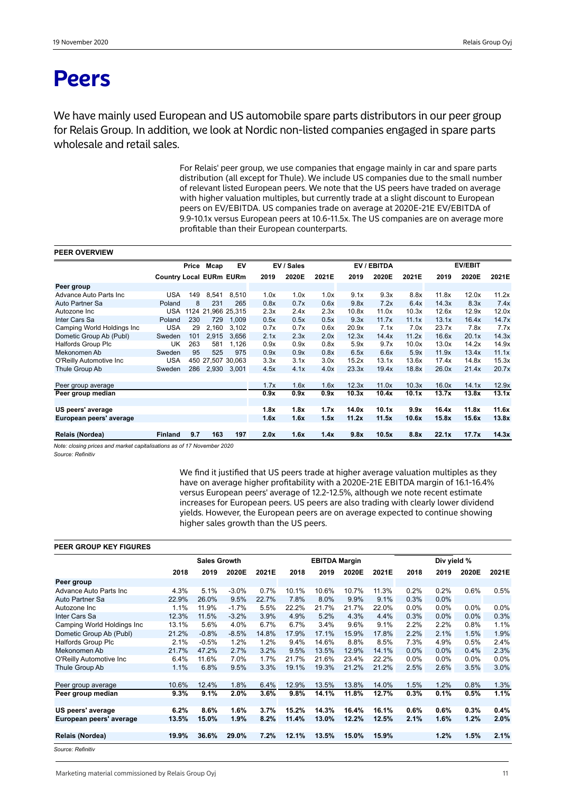# **Peers**

We have mainly used European and US automobile spare parts distributors in our peer group for Relais Group. In addition, we look at Nordic non-listed companies engaged in spare parts wholesale and retail sales.

> For Relais' peer group, we use companies that engage mainly in car and spare parts distribution (all except for Thule). We include US companies due to the small number of relevant listed European peers. We note that the US peers have traded on average with higher valuation multiples, but currently trade at a slight discount to European peers on EV/EBITDA. US companies trade on average at 2020E-21E EV/EBITDA of 9.9-10.1x versus European peers at 10.6-11.5x. The US companies are on average more profitable than their European counterparts.

# **PEER OVERVIEW**

|                             |                                | Price | Mcap  | EV                 |      | EV / Sales |       |       | EV / EBITDA |       |       | <b>EV/EBIT</b> |       |
|-----------------------------|--------------------------------|-------|-------|--------------------|------|------------|-------|-------|-------------|-------|-------|----------------|-------|
|                             | <b>Country Local EURm EURm</b> |       |       |                    | 2019 | 2020E      | 2021E | 2019  | 2020E       | 2021E | 2019  | 2020E          | 2021E |
| Peer group                  |                                |       |       |                    |      |            |       |       |             |       |       |                |       |
| Advance Auto Parts Inc      | <b>USA</b>                     | 149   | 8,541 | 8.510              | 1.0x | 1.0x       | 1.0x  | 9.1x  | 9.3x        | 8.8x  | 11.8x | 12.0x          | 11.2x |
| Auto Partner Sa             | Poland                         | 8     | 231   | 265                | 0.8x | 0.7x       | 0.6x  | 9.8x  | 7.2x        | 6.4x  | 14.3x | 8.3x           | 7.4x  |
| Autozone Inc                | <b>USA</b>                     |       |       | 1124 21,966 25,315 | 2.3x | 2.4x       | 2.3x  | 10.8x | 11.0x       | 10.3x | 12.6x | 12.9x          | 12.0x |
| Inter Cars Sa               | Poland                         | 230   | 729   | 1.009              | 0.5x | 0.5x       | 0.5x  | 9.3x  | 11.7x       | 11.1x | 13.1x | 16.4x          | 14.7x |
| Camping World Holdings Inc. | <b>USA</b>                     | 29    | 2,160 | 3.102              | 0.7x | 0.7x       | 0.6x  | 20.9x | 7.1x        | 7.0x  | 23.7x | 7.8x           | 7.7x  |
| Dometic Group Ab (Publ)     | Sweden                         | 101   | 2,915 | 3.656              | 2.1x | 2.3x       | 2.0x  | 12.3x | 14.4x       | 11.2x | 16.6x | 20.1x          | 14.3x |
| Halfords Group Plc          | UK                             | 263   | 581   | 1,126              | 0.9x | 0.9x       | 0.8x  | 5.9x  | 9.7x        | 10.0x | 13.0x | 14.2x          | 14.9x |
| Mekonomen Ab                | Sweden                         | 95    | 525   | 975                | 0.9x | 0.9x       | 0.8x  | 6.5x  | 6.6x        | 5.9x  | 11.9x | 13.4x          | 11.1x |
| O'Reilly Automotive Inc     | <b>USA</b>                     |       |       | 450 27,507 30,063  | 3.3x | 3.1x       | 3.0x  | 15.2x | 13.1x       | 13.6x | 17.4x | 14.8x          | 15.3x |
| Thule Group Ab              | Sweden                         | 286   | 2,930 | 3,001              | 4.5x | 4.1x       | 4.0x  | 23.3x | 19.4x       | 18.8x | 26.0x | 21.4x          | 20.7x |
|                             |                                |       |       |                    |      |            |       |       |             |       |       |                |       |
| Peer group average          |                                |       |       |                    | 1.7x | 1.6x       | 1.6x  | 12.3x | 11.0x       | 10.3x | 16.0x | 14.1x          | 12.9x |
| Peer group median           |                                |       |       |                    | 0.9x | 0.9x       | 0.9x  | 10.3x | 10.4x       | 10.1x | 13.7x | 13.8x          | 13.1x |
|                             |                                |       |       |                    |      |            |       |       |             |       |       |                |       |
| US peers' average           |                                |       |       |                    | 1.8x | 1.8x       | 1.7x  | 14.0x | 10.1x       | 9.9x  | 16.4x | 11.8x          | 11.6x |
| European peers' average     |                                |       |       |                    | 1.6x | 1.6x       | 1.5x  | 11.2x | 11.5x       | 10.6x | 15.8x | 15.6x          | 13.8x |
|                             |                                |       |       |                    |      |            |       |       |             |       |       |                |       |
| Relais (Nordea)             | <b>Finland</b>                 | 9.7   | 163   | 197                | 2.0x | 1.6x       | 1.4x  | 9.8x  | 10.5x       | 8.8x  | 22.1x | 17.7x          | 14.3x |

*Note: closing prices and market capitalisations as of 17 November 2020*

*Source: Refinitiv* 

We find it justified that US peers trade at higher average valuation multiples as they have on average higher profitability with a 2020E-21E EBITDA margin of 16.1-16.4% versus European peers' average of 12.2-12.5%, although we note recent estimate increases for European peers. US peers are also trading with clearly lower dividend yields. However, the European peers are on average expected to continue showing higher sales growth than the US peers.

#### **PEER GROUP KEY FIGURES**

|                            |       | <b>Sales Growth</b> |         |       | <b>EBITDA Margin</b> |       |       |       | Div yield % |         |         |       |
|----------------------------|-------|---------------------|---------|-------|----------------------|-------|-------|-------|-------------|---------|---------|-------|
|                            | 2018  | 2019                | 2020E   | 2021E | 2018                 | 2019  | 2020E | 2021E | 2018        | 2019    | 2020E   | 2021E |
| Peer group                 |       |                     |         |       |                      |       |       |       |             |         |         |       |
| Advance Auto Parts Inc     | 4.3%  | 5.1%                | $-3.0%$ | 0.7%  | 10.1%                | 10.6% | 10.7% | 11.3% | 0.2%        | 0.2%    | 0.6%    | 0.5%  |
| Auto Partner Sa            | 22.9% | 26.0%               | 9.5%    | 22.7% | 7.8%                 | 8.0%  | 9.9%  | 9.1%  | 0.3%        | 0.0%    |         |       |
| Autozone Inc               | 1.1%  | 11.9%               | $-1.7%$ | 5.5%  | 22.2%                | 21.7% | 21.7% | 22.0% | 0.0%        | $0.0\%$ | $0.0\%$ | 0.0%  |
| Inter Cars Sa              | 12.3% | 11.5%               | $-3.2%$ | 3.9%  | 4.9%                 | 5.2%  | 4.3%  | 4.4%  | 0.3%        | 0.0%    | 0.0%    | 0.3%  |
| Camping World Holdings Inc | 13.1% | 5.6%                | 4.0%    | 6.7%  | 6.7%                 | 3.4%  | 9.6%  | 9.1%  | 2.2%        | 2.2%    | 0.8%    | 1.1%  |
| Dometic Group Ab (Publ)    | 21.2% | $-0.8%$             | $-8.5%$ | 14.8% | 17.9%                | 17.1% | 15.9% | 17.8% | 2.2%        | 2.1%    | 1.5%    | 1.9%  |
| <b>Halfords Group Plc</b>  | 2.1%  | $-0.5%$             | 1.2%    | 1.2%  | 9.4%                 | 14.6% | 8.8%  | 8.5%  | 7.3%        | 4.9%    | 0.5%    | 2.4%  |
| Mekonomen Ab               | 21.7% | 47.2%               | 2.7%    | 3.2%  | 9.5%                 | 13.5% | 12.9% | 14.1% | 0.0%        | 0.0%    | 0.4%    | 2.3%  |
| O'Reilly Automotive Inc    | 6.4%  | 11.6%               | 7.0%    | 1.7%  | 21.7%                | 21.6% | 23.4% | 22.2% | $0.0\%$     | 0.0%    | $0.0\%$ | 0.0%  |
| Thule Group Ab             | 1.1%  | 6.8%                | 9.5%    | 3.3%  | 19.1%                | 19.3% | 21.2% | 21.2% | 2.5%        | 2.6%    | 3.5%    | 3.0%  |
|                            |       |                     |         |       |                      |       |       |       |             |         |         |       |
| Peer group average         | 10.6% | 12.4%               | 1.8%    | 6.4%  | 12.9%                | 13.5% | 13.8% | 14.0% | 1.5%        | 1.2%    | 0.8%    | 1.3%  |
| Peer group median          | 9.3%  | 9.1%                | 2.0%    | 3.6%  | 9.8%                 | 14.1% | 11.8% | 12.7% | 0.3%        | 0.1%    | 0.5%    | 1.1%  |
|                            |       |                     |         |       |                      |       |       |       |             |         |         |       |
| US peers' average          | 6.2%  | 8.6%                | 1.6%    | 3.7%  | 15.2%                | 14.3% | 16.4% | 16.1% | 0.6%        | 0.6%    | 0.3%    | 0.4%  |
| European peers' average    | 13.5% | 15.0%               | 1.9%    | 8.2%  | 11.4%                | 13.0% | 12.2% | 12.5% | 2.1%        | 1.6%    | 1.2%    | 2.0%  |
|                            |       |                     |         |       |                      |       |       |       |             |         |         |       |
| Relais (Nordea)            | 19.9% | 36.6%               | 29.0%   | 7.2%  | 12.1%                | 13.5% | 15.0% | 15.9% |             | 1.2%    | 1.5%    | 2.1%  |
|                            |       |                     |         |       |                      |       |       |       |             |         |         |       |

*Source: Refinitiv*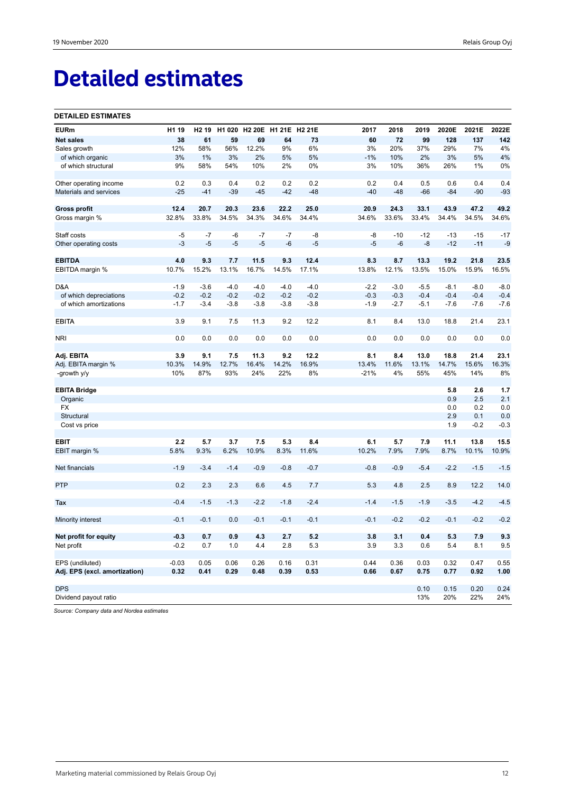# **Detailed estimates**

#### **DETAILED ESTIMATES**

| <b>EURm</b>                   | H1 19   | H <sub>2</sub> 19 | H1 020 | H2 20E H1 21E |        | <b>H2 21E</b> | 2017   | 2018   | 2019   | 2020E  | 2021E  | 2022E  |
|-------------------------------|---------|-------------------|--------|---------------|--------|---------------|--------|--------|--------|--------|--------|--------|
| <b>Net sales</b>              | 38      | 61                | 59     | 69            | 64     | 73            | 60     | 72     | 99     | 128    | 137    | 142    |
| Sales growth                  | 12%     | 58%               | 56%    | 12.2%         | 9%     | 6%            | 3%     | 20%    | 37%    | 29%    | 7%     | 4%     |
| of which organic              | 3%      | 1%                | 3%     | 2%            | 5%     | 5%            | $-1%$  | 10%    | 2%     | 3%     | 5%     | 4%     |
| of which structural           | 9%      | 58%               | 54%    | 10%           | 2%     | 0%            | 3%     | 10%    | 36%    | 26%    | 1%     | 0%     |
|                               |         |                   |        |               |        |               |        |        |        |        |        |        |
| Other operating income        | 0.2     | 0.3               | 0.4    | 0.2           | 0.2    | 0.2           | 0.2    | 0.4    | 0.5    | 0.6    | 0.4    | 0.4    |
| Materials and services        | $-25$   | $-41$             | $-39$  | $-45$         | $-42$  | $-48$         | $-40$  | $-48$  | $-66$  | $-84$  | $-90$  | $-93$  |
|                               |         |                   |        |               |        |               |        |        |        |        |        |        |
| <b>Gross profit</b>           | 12.4    | 20.7              | 20.3   | 23.6          | 22.2   | 25.0          | 20.9   | 24.3   | 33.1   | 43.9   | 47.2   | 49.2   |
| Gross margin %                | 32.8%   | 33.8%             | 34.5%  | 34.3%         | 34.6%  | 34.4%         | 34.6%  | 33.6%  | 33.4%  | 34.4%  | 34.5%  | 34.6%  |
| Staff costs                   | $-5$    | $-7$              | -6     | $-7$          | $-7$   | -8            | -8     | $-10$  | $-12$  | $-13$  | $-15$  | $-17$  |
| Other operating costs         | $-3$    | $-5$              | $-5$   | $-5$          | -6     | $-5$          | $-5$   | $-6$   | $-8$   | $-12$  | $-11$  | $-9$   |
|                               |         |                   |        |               |        |               |        |        |        |        |        |        |
| <b>EBITDA</b>                 | 4.0     | 9.3               | 7.7    | 11.5          | 9.3    | 12.4          | 8.3    | 8.7    | 13.3   | 19.2   | 21.8   | 23.5   |
| EBITDA margin %               | 10.7%   | 15.2%             | 13.1%  | 16.7%         | 14.5%  | 17.1%         | 13.8%  | 12.1%  | 13.5%  | 15.0%  | 15.9%  | 16.5%  |
|                               |         |                   |        |               |        |               |        |        |        |        |        |        |
| D&A                           | $-1.9$  | $-3.6$            | $-4.0$ | $-4.0$        | $-4.0$ | $-4.0$        | $-2.2$ | $-3.0$ | $-5.5$ | $-8.1$ | $-8.0$ | $-8.0$ |
| of which depreciations        | $-0.2$  | $-0.2$            | $-0.2$ | $-0.2$        | $-0.2$ | $-0.2$        | $-0.3$ | $-0.3$ | $-0.4$ | $-0.4$ | $-0.4$ | $-0.4$ |
| of which amortizations        | $-1.7$  | $-3.4$            | $-3.8$ | $-3.8$        | $-3.8$ | $-3.8$        | $-1.9$ | $-2.7$ | $-5.1$ | $-7.6$ | $-7.6$ | $-7.6$ |
|                               |         |                   |        |               |        |               |        |        |        |        |        |        |
| <b>EBITA</b>                  | 3.9     | 9.1               | 7.5    | 11.3          | 9.2    | 12.2          | 8.1    | 8.4    | 13.0   | 18.8   | 21.4   | 23.1   |
| <b>NRI</b>                    | 0.0     | 0.0               | 0.0    | 0.0           | 0.0    | 0.0           | 0.0    | 0.0    | 0.0    | 0.0    | 0.0    | 0.0    |
|                               |         |                   |        |               |        |               |        |        |        |        |        |        |
| Adj. EBITA                    | 3.9     | 9.1               | 7.5    | 11.3          | 9.2    | 12.2          | 8.1    | 8.4    | 13.0   | 18.8   | 21.4   | 23.1   |
| Adj. EBITA margin %           | 10.3%   | 14.9%             | 12.7%  | 16.4%         | 14.2%  | 16.9%         | 13.4%  | 11.6%  | 13.1%  | 14.7%  | 15.6%  | 16.3%  |
| -growth y/y                   | 10%     | 87%               | 93%    | 24%           | 22%    | 8%            | $-21%$ | 4%     | 55%    | 45%    | 14%    | 8%     |
|                               |         |                   |        |               |        |               |        |        |        |        |        |        |
| <b>EBITA Bridge</b>           |         |                   |        |               |        |               |        |        |        | 5.8    | 2.6    | 1.7    |
| Organic                       |         |                   |        |               |        |               |        |        |        | 0.9    | 2.5    | 2.1    |
| <b>FX</b>                     |         |                   |        |               |        |               |        |        |        | 0.0    | 0.2    | 0.0    |
| Structural                    |         |                   |        |               |        |               |        |        |        | 2.9    | 0.1    | 0.0    |
| Cost vs price                 |         |                   |        |               |        |               |        |        |        | 1.9    | $-0.2$ | $-0.3$ |
| EBIT                          | 2.2     | 5.7               | 3.7    | 7.5           | 5.3    | 8.4           | 6.1    | 5.7    | 7.9    | 11.1   | 13.8   | 15.5   |
| EBIT margin %                 | 5.8%    | 9.3%              | 6.2%   | 10.9%         | 8.3%   | 11.6%         | 10.2%  | 7.9%   | 7.9%   | 8.7%   | 10.1%  | 10.9%  |
|                               |         |                   |        |               |        |               |        |        |        |        |        |        |
| Net financials                | $-1.9$  | $-3.4$            | $-1.4$ | $-0.9$        | $-0.8$ | $-0.7$        | $-0.8$ | $-0.9$ | $-5.4$ | $-2.2$ | $-1.5$ | $-1.5$ |
|                               |         |                   |        |               |        |               |        |        |        |        |        |        |
| <b>PTP</b>                    | 0.2     | 2.3               | 2.3    | 6.6           | 4.5    | 7.7           | 5.3    | 4.8    | 2.5    | 8.9    | 12.2   | 14.0   |
|                               |         |                   |        |               |        |               |        |        |        |        |        |        |
| Tax                           | $-0.4$  | $-1.5$            | $-1.3$ | $-2.2$        | $-1.8$ | $-2.4$        | $-1.4$ | $-1.5$ | $-1.9$ | $-3.5$ | $-4.2$ | $-4.5$ |
|                               |         |                   |        |               |        |               |        |        |        |        |        |        |
| Minority interest             | $-0.1$  | $-0.1$            | 0.0    | $-0.1$        | $-0.1$ | $-0.1$        | $-0.1$ | $-0.2$ | $-0.2$ | $-0.1$ | $-0.2$ | $-0.2$ |
| Net profit for equity         | $-0.3$  | 0.7               | 0.9    | 4.3           | 2.7    | 5.2           | 3.8    | 3.1    | 0.4    | 5.3    | 7.9    | 9.3    |
| Net profit                    | $-0.2$  | 0.7               | 1.0    | 4.4           | 2.8    | 5.3           | 3.9    | 3.3    | 0.6    | 5.4    | 8.1    | 9.5    |
|                               |         |                   |        |               |        |               |        |        |        |        |        |        |
| EPS (undiluted)               | $-0.03$ | 0.05              | 0.06   | 0.26          | 0.16   | 0.31          | 0.44   | 0.36   | 0.03   | 0.32   | 0.47   | 0.55   |
| Adj. EPS (excl. amortization) | 0.32    | 0.41              | 0.29   | 0.48          | 0.39   | 0.53          | 0.66   | 0.67   | 0.75   | 0.77   | 0.92   | 1.00   |
|                               |         |                   |        |               |        |               |        |        |        |        |        |        |
| <b>DPS</b>                    |         |                   |        |               |        |               |        |        | 0.10   | 0.15   | 0.20   | 0.24   |
| Dividend payout ratio         |         |                   |        |               |        |               |        |        | 13%    | 20%    | 22%    | 24%    |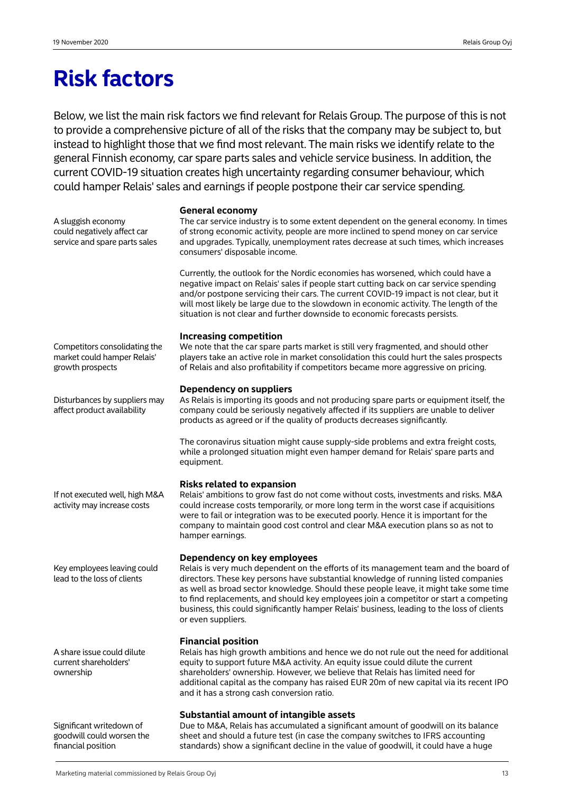A sluggish economy could negatively affect car service and spare parts sales

# **Risk factors**

Below, we list the main risk factors we find relevant for Relais Group. The purpose of this is not to provide a comprehensive picture of all of the risks that the company may be subject to, but instead to highlight those that we find most relevant. The main risks we identify relate to the general Finnish economy, car spare parts sales and vehicle service business. In addition, the current COVID-19 situation creates high uncertainty regarding consumer behaviour, which could hamper Relais' sales and earnings if people postpone their car service spending.

# **General economy**

The car service industry is to some extent dependent on the general economy. In times of strong economic activity, people are more inclined to spend money on car service and upgrades. Typically, unemployment rates decrease at such times, which increases consumers' disposable income.

Currently, the outlook for the Nordic economies has worsened, which could have a negative impact on Relais' sales if people start cutting back on car service spending and/or postpone servicing their cars. The current COVID-19 impact is not clear, but it will most likely be large due to the slowdown in economic activity. The length of the situation is not clear and further downside to economic forecasts persists.

# **Increasing competition**

We note that the car spare parts market is still very fragmented, and should other players take an active role in market consolidation this could hurt the sales prospects of Relais and also profitability if competitors became more aggressive on pricing.

# **Dependency on suppliers**

As Relais is importing its goods and not producing spare parts or equipment itself, the company could be seriously negatively affected if its suppliers are unable to deliver products as agreed or if the quality of products decreases significantly.

The coronavirus situation might cause supply-side problems and extra freight costs, while a prolonged situation might even hamper demand for Relais' spare parts and equipment.

# **Risks related to expansion**

Relais' ambitions to grow fast do not come without costs, investments and risks. M&A could increase costs temporarily, or more long term in the worst case if acquisitions were to fail or integration was to be executed poorly. Hence it is important for the company to maintain good cost control and clear M&A execution plans so as not to hamper earnings.

# **Dependency on key employees**

Relais is very much dependent on the efforts of its management team and the board of directors. These key persons have substantial knowledge of running listed companies as well as broad sector knowledge. Should these people leave, it might take some time to find replacements, and should key employees join a competitor or start a competing business, this could significantly hamper Relais' business, leading to the loss of clients or even suppliers.

# **Financial position**

Relais has high growth ambitions and hence we do not rule out the need for additional equity to support future M&A activity. An equity issue could dilute the current shareholders' ownership. However, we believe that Relais has limited need for additional capital as the company has raised EUR 20m of new capital via its recent IPO and it has a strong cash conversion ratio.

# **Substantial amount of intangible assets**

Due to M&A, Relais has accumulated a significant amount of goodwill on its balance sheet and should a future test (in case the company switches to IFRS accounting standards) show a significant decline in the value of goodwill, it could have a huge

Competitors consolidating the market could hamper Relais' growth prospects

Disturbances by suppliers may affect product availability

If not executed well, high M&A activity may increase costs

Key employees leaving could lead to the loss of clients

A share issue could dilute current shareholders' ownership

Significant writedown of goodwill could worsen the financial position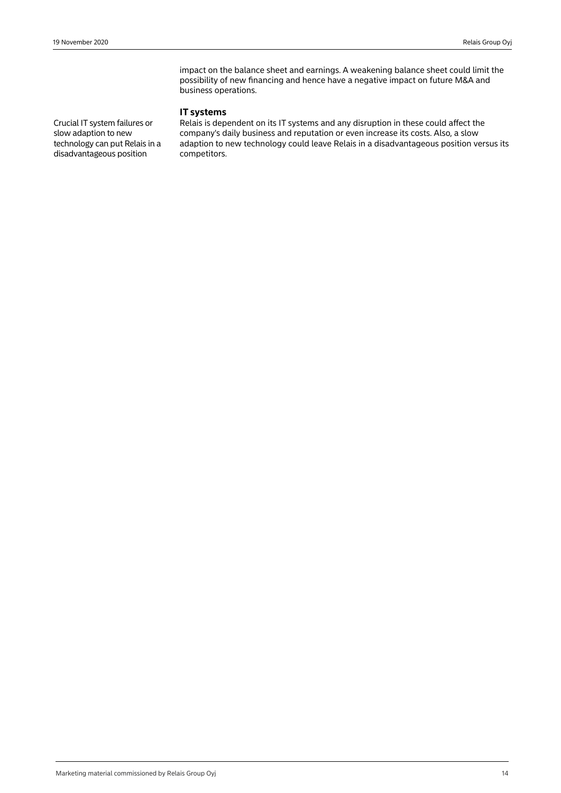impact on the balance sheet and earnings. A weakening balance sheet could limit the possibility of new financing and hence have a negative impact on future M&A and business operations.

# **IT systems**

Crucial IT system failures or slow adaption to new technology can put Relais in a disadvantageous position

Relais is dependent on its IT systems and any disruption in these could affect the company's daily business and reputation or even increase its costs. Also, a slow adaption to new technology could leave Relais in a disadvantageous position versus its competitors.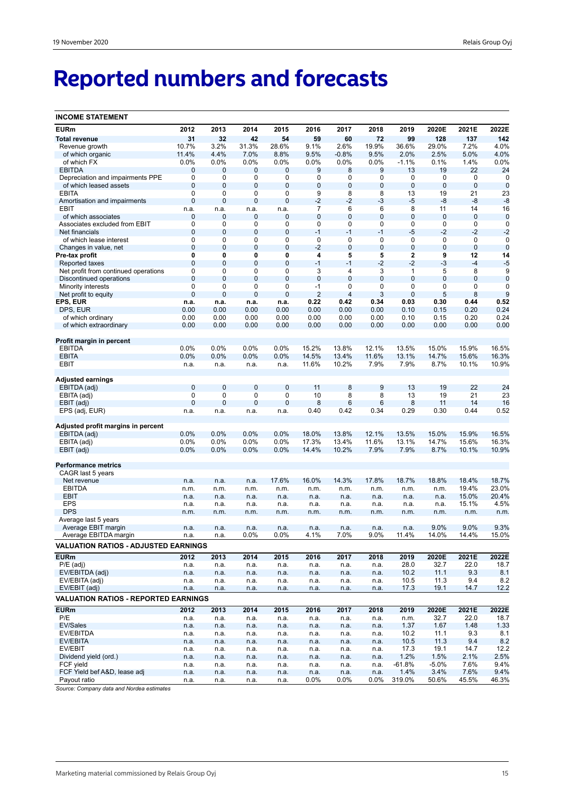# **Reported numbers and forecasts**

| <b>INCOME STATEMENT</b>                      |                               |                     |                  |                  |                        |                     |                |                     |               |                |                |
|----------------------------------------------|-------------------------------|---------------------|------------------|------------------|------------------------|---------------------|----------------|---------------------|---------------|----------------|----------------|
| <b>EURm</b>                                  | 2012                          | 2013                | 2014             | 2015             | 2016                   | 2017                | 2018           | 2019                | 2020E         | 2021E          | 2022E          |
| <b>Total revenue</b>                         | 31                            | 32                  | 42               | 54               | 59                     | 60                  | 72             | 99                  | 128           | 137            | 142            |
| Revenue growth                               | 10.7%                         | 3.2%                | 31.3%            | 28.6%            | 9.1%                   | 2.6%                | 19.9%          | 36.6%               | 29.0%         | 7.2%           | 4.0%           |
| of which organic                             | 11.4%                         | 4.4%                | 7.0%             | 8.8%             | 9.5%                   | $-0.8%$             | 9.5%           | 2.0%                | 2.5%          | 5.0%           | 4.0%           |
| of which FX                                  | 0.0%                          | 0.0%                | 0.0%             | 0.0%             | 0.0%                   | $0.0\%$             | $0.0\%$        | $-1.1%$             | 0.1%          | 1.4%           | $0.0\%$        |
| <b>EBITDA</b>                                | $\mathbf{0}$                  | 0                   | 0                | 0                | 9                      | 8                   | 9              | 13                  | 19            | 22             | 24             |
| Depreciation and impairments PPE             | $\mathbf 0$                   | 0                   | 0                | 0                | 0                      | 0                   | 0              | 0                   | 0             | 0              | 0              |
| of which leased assets                       | $\mathbf{0}$<br>0             | 0                   | 0                | 0                | 0<br>9                 | $\bf 0$             | 0              | $\bf 0$             | 0             | $\mathbf 0$    | $\mathbf 0$    |
| <b>EBITA</b><br>Amortisation and impairments | $\mathbf{0}$                  | 0<br>0              | 0<br>$\mathbf 0$ | 0<br>0           | $-2$                   | 8<br>$-2$           | 8<br>-3        | 13<br>$-5$          | 19<br>-8      | 21<br>$-8$     | 23<br>$-8$     |
| EBIT                                         | n.a.                          | n.a.                | n.a.             | n.a.             | 7                      | 6                   | 6              | 8                   | 11            | 14             | 16             |
| of which associates                          | 0                             | 0                   | 0                | 0                | 0                      | $\bf 0$             | $\mathbf 0$    | $\mathbf 0$         | 0             | $\mathbf 0$    | $\mathbf 0$    |
| Associates excluded from EBIT                | 0                             | 0                   | 0                | 0                | 0                      | 0                   | 0              | 0                   | 0             | 0              | 0              |
| Net financials                               | $\mathbf{0}$                  | 0                   | $\mathbf 0$      | 0                | $-1$                   | $-1$                | $-1$           | $-5$                | $-2$          | $-2$           | $-2$           |
| of which lease interest                      | 0                             | 0                   | 0                | 0                | $\pmb{0}$              | 0                   | 0              | 0                   | 0             | 0              | 0              |
| Changes in value, net                        | $\mathbf{0}$                  | 0                   | 0                | 0                | $-2$                   | $\mathbf 0$         | $\overline{0}$ | $\mathbf 0$         | 0             | $\mathbf 0$    | $\mathbf 0$    |
| Pre-tax profit                               | 0                             | 0                   | 0                | 0                | 4                      | 5                   | 5              | $\mathbf 2$         | 9             | 12             | 14             |
| Reported taxes                               | $\mathbf{0}$                  | 0                   | $\mathbf 0$      | $\mathbf 0$      | $-1$                   | $-1$                | $-2$           | $-2$                | $-3$          | $-4$           | $-5$           |
| Net profit from continued operations         | 0                             | 0                   | 0                | 0                | 3                      | 4                   | 3              | 1                   | 5             | 8              | 9              |
| Discontinued operations                      | $\mathbf 0$                   | $\overline{0}$      | $\mathbf 0$      | $\mathbf 0$      | $\mathbf 0$            | $\overline{0}$      | $\overline{0}$ | $\overline{0}$      | 0             | 0              | $\mathbf 0$    |
| Minority interests                           | $\mathbf 0$<br>$\overline{0}$ | 0<br>$\overline{0}$ | 0<br>$\mathbf 0$ | 0<br>$\mathbf 0$ | $-1$<br>$\overline{2}$ | 0<br>$\overline{4}$ | 0<br>3         | 0<br>$\overline{0}$ | 0<br>5        | 0<br>8         | 0<br>9         |
| Net profit to equity<br>EPS, EUR             | n.a.                          | n.a.                | n.a.             | n.a.             | 0.22                   | 0.42                | 0.34           | 0.03                | 0.30          | 0.44           | 0.52           |
| DPS, EUR                                     | 0.00                          | 0.00                | 0.00             | 0.00             | 0.00                   | 0.00                | 0.00           | 0.10                | 0.15          | 0.20           | 0.24           |
| of which ordinary                            | 0.00                          | 0.00                | 0.00             | 0.00             | 0.00                   | 0.00                | 0.00           | 0.10                | 0.15          | 0.20           | 0.24           |
| of which extraordinary                       | 0.00                          | 0.00                | 0.00             | 0.00             | 0.00                   | 0.00                | 0.00           | 0.00                | 0.00          | 0.00           | 0.00           |
|                                              |                               |                     |                  |                  |                        |                     |                |                     |               |                |                |
| Profit margin in percent                     |                               |                     |                  |                  |                        |                     |                |                     |               |                |                |
| <b>EBITDA</b>                                | 0.0%                          | 0.0%                | 0.0%             | 0.0%             | 15.2%                  | 13.8%               | 12.1%          | 13.5%               | 15.0%         | 15.9%          | 16.5%          |
| <b>EBITA</b>                                 | 0.0%                          | 0.0%                | 0.0%             | 0.0%             | 14.5%                  | 13.4%               | 11.6%          | 13.1%               | 14.7%         | 15.6%          | 16.3%          |
| EBIT                                         | n.a.                          | n.a.                | n.a.             | n.a.             | 11.6%                  | 10.2%               | 7.9%           | 7.9%                | 8.7%          | 10.1%          | 10.9%          |
|                                              |                               |                     |                  |                  |                        |                     |                |                     |               |                |                |
| Adjusted earnings                            | $\mathbf{0}$                  | $\mathbf 0$         | $\mathbf 0$      |                  |                        | 8                   | 9              | 13                  | 19            | 22             |                |
| EBITDA (adj)<br>EBITA (adj)                  | 0                             | 0                   | 0                | $\bf{0}$<br>0    | 11<br>10               | 8                   | 8              | 13                  | 19            | 21             | 24<br>23       |
| EBIT (adj)                                   | $\overline{0}$                | 0                   | $\overline{0}$   | $\mathbf 0$      | 8                      | $6\phantom{1}$      | 6              | 8                   | 11            | 14             | 16             |
| EPS (adj, EUR)                               | n.a.                          | n.a.                | n.a.             | n.a.             | 0.40                   | 0.42                | 0.34           | 0.29                | 0.30          | 0.44           | 0.52           |
|                                              |                               |                     |                  |                  |                        |                     |                |                     |               |                |                |
| Adjusted profit margins in percent           |                               |                     |                  |                  |                        |                     |                |                     |               |                |                |
| EBITDA (adj)                                 | 0.0%                          | 0.0%                | 0.0%             | 0.0%             | 18.0%                  | 13.8%               | 12.1%          | 13.5%               | 15.0%         | 15.9%          | 16.5%          |
| EBITA (adj)                                  | 0.0%                          | 0.0%                | 0.0%             | $0.0\%$          | 17.3%                  | 13.4%               | 11.6%          | 13.1%               | 14.7%         | 15.6%          | 16.3%          |
| EBIT (adj)                                   | 0.0%                          | 0.0%                | 0.0%             | 0.0%             | 14.4%                  | 10.2%               | 7.9%           | 7.9%                | 8.7%          | 10.1%          | 10.9%          |
|                                              |                               |                     |                  |                  |                        |                     |                |                     |               |                |                |
| <b>Performance metrics</b>                   |                               |                     |                  |                  |                        |                     |                |                     |               |                |                |
| CAGR last 5 years                            |                               |                     |                  |                  |                        |                     |                |                     |               |                |                |
| Net revenue<br><b>EBITDA</b>                 | n.a.                          | n.a.                | n.a.             | 17.6%            | 16.0%                  | 14.3%               | 17.8%          | 18.7%               | 18.8%         | 18.4%<br>19.4% | 18.7%<br>23.0% |
| <b>EBIT</b>                                  | n.m.<br>n.a.                  | n.m.<br>n.a.        | n.m.<br>n.a.     | n.m.<br>n.a.     | n.m.<br>n.a.           | n.m.<br>n.a.        | n.m.<br>n.a.   | n.m.<br>n.a.        | n.m.<br>n.a.  | 15.0%          | 20.4%          |
| <b>EPS</b>                                   | n.a.                          | n.a.                | n.a.             | n.a.             | n.a.                   | n.a.                | n.a.           | n.a.                | n.a.          | 15.1%          | 4.5%           |
| <b>DPS</b>                                   | n.m.                          | n.m.                | n.m.             | n.m.             | n.m.                   | n.m.                | n.m.           | n.m.                | n.m.          | n.m.           | n.m.           |
| Average last 5 years                         |                               |                     |                  |                  |                        |                     |                |                     |               |                |                |
| Average EBIT margin                          | n.a.                          | n.a.                | n.a.             | n.a.             | n.a.                   | n.a.                | n.a.           | n.a.                | 9.0%          | 9.0%           | 9.3%           |
| Average EBITDA margin                        | n.a.                          | n.a.                | 0.0%             | 0.0%             | 4.1%                   | 7.0%                | 9.0%           | 11.4%               | 14.0%         | 14.4%          | 15.0%          |
| <b>VALUATION RATIOS - ADJUSTED EARNINGS</b>  |                               |                     |                  |                  |                        |                     |                |                     |               |                |                |
|                                              | 2012                          |                     |                  |                  |                        |                     |                |                     |               |                |                |
| <b>EURm</b><br>$P/E$ (adj)                   |                               | 2013                | 2014             | 2015             | 2016                   | 2017                | 2018           | 2019<br>28.0        | 2020E<br>32.7 | 2021E<br>22.0  | 2022E<br>18.7  |
| EV/EBITDA (adj)                              | n.a.<br>n.a.                  | n.a.<br>n.a.        | n.a.<br>n.a.     | n.a.<br>n.a.     | n.a.<br>n.a.           | n.a.<br>n.a.        | n.a.<br>n.a.   | 10.2                | 11.1          | 9.3            | 8.1            |
| EV/EBITA (adj)                               | n.a.                          | n.a.                | n.a.             | n.a.             | n.a.                   | n.a.                | n.a.           | 10.5                | 11.3          | 9.4            | 8.2            |
| EV/EBIT (adj)                                | n.a.                          | n.a.                | n.a.             | n.a.             | n.a.                   | n.a.                | n.a.           | 17.3                | 19.1          | 14.7           | 12.2           |
| <b>VALUATION RATIOS - REPORTED EARNINGS</b>  |                               |                     |                  |                  |                        |                     |                |                     |               |                |                |
|                                              |                               |                     |                  |                  |                        |                     |                |                     |               |                |                |
| <b>EURm</b>                                  | 2012                          | 2013                | 2014             | 2015             | 2016                   | 2017                | 2018           | 2019                | 2020E         | 2021E          | 2022E          |
| P/E                                          | n.a.                          | n.a.                | n.a.             | n.a.             | n.a.                   | n.a.                | n.a.           | n.m.                | 32.7          | 22.0           | 18.7           |
| EV/Sales                                     | n.a.                          | n.a.                | n.a.             | n.a.             | n.a.                   | n.a.                | n.a.           | 1.37                | 1.67          | 1.48           | 1.33           |
| EV/EBITDA                                    | n.a.                          | n.a.                | n.a.             | n.a.             | n.a.                   | n.a.                | n.a.           | 10.2                | 11.1          | 9.3            | 8.1            |
| EV/EBITA                                     | n.a.                          | n.a.                | n.a.             | n.a.             | n.a.                   | n.a.                | n.a.           | 10.5                | 11.3          | 9.4            | 8.2            |
| EV/EBIT<br>Dividend yield (ord.)             | n.a.<br>n.a.                  | n.a.<br>n.a.        | n.a.<br>n.a.     | n.a.<br>n.a.     | n.a.<br>n.a.           | n.a.<br>n.a.        | n.a.<br>n.a.   | 17.3<br>1.2%        | 19.1<br>1.5%  | 14.7<br>2.1%   | 12.2<br>2.5%   |
| FCF yield                                    | n.a.                          | n.a.                | n.a.             | n.a.             | n.a.                   | n.a.                | n.a.           | $-61.8%$            | $-5.0%$       | 7.6%           | 9.4%           |
| FCF Yield bef A&D, lease adj                 | n.a.                          | n.a.                | n.a.             | n.a.             | n.a.                   | n.a.                | n.a.           | 1.4%                | 3.4%          | 7.6%           | 9.4%           |
| Payout ratio                                 | n.a.                          | n.a.                | n.a.             | n.a.             | 0.0%                   | $0.0\%$             | $0.0\%$        | 319.0%              | 50.6%         | 45.5%          | 46.3%          |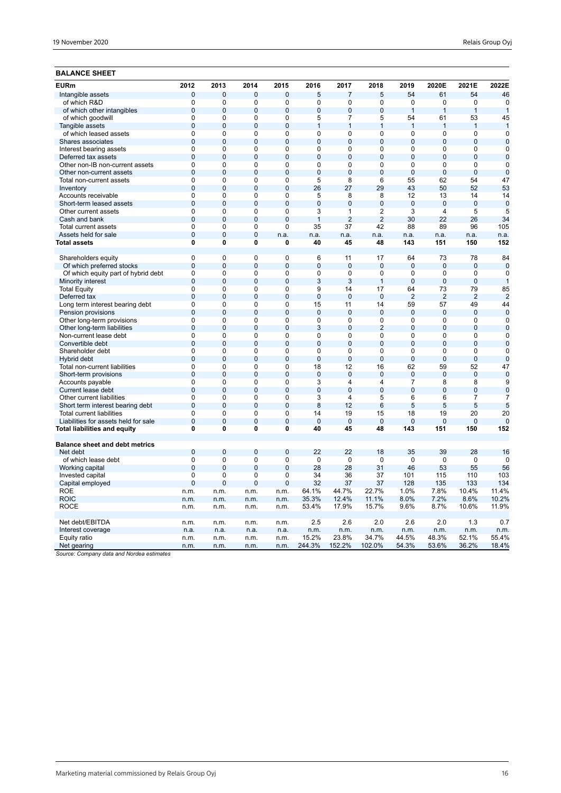# **BALANCE SHEET**

| <b>EURm</b>                           | 2012           | 2013           | 2014           | 2015           | 2016           | 2017           | 2018           | 2019           | 2020E          | 2021E          | 2022E          |
|---------------------------------------|----------------|----------------|----------------|----------------|----------------|----------------|----------------|----------------|----------------|----------------|----------------|
| Intangible assets                     | $\mathbf{0}$   | $\Omega$       | $\overline{0}$ | $\overline{0}$ | 5              | $\overline{7}$ | 5              | 54             | 61             | 54             | 46             |
| of which R&D                          | $\overline{0}$ | $\mathbf 0$    | 0              | $\overline{0}$ | 0              | 0              | 0              | $\mathbf 0$    | $\mathbf 0$    | $\overline{0}$ | $\mathbf 0$    |
| of which other intangibles            | $\overline{0}$ | $\Omega$       | $\overline{0}$ | 0              | $\overline{0}$ | $\mathbf 0$    | $\mathbf 0$    | $\mathbf{1}$   | $\mathbf{1}$   | 1              | 1              |
| of which goodwill                     | $\overline{0}$ | 0              | $\overline{0}$ | $\overline{0}$ | 5              | $\overline{7}$ | 5              | 54             | 61             | 53             | 45             |
| Tangible assets                       | $\overline{0}$ | $\mathbf 0$    | $\overline{0}$ | 0              | $\mathbf{1}$   | $\mathbf{1}$   | $\mathbf{1}$   | $\mathbf{1}$   | $\mathbf{1}$   | $\mathbf{1}$   | $\mathbf{1}$   |
| of which leased assets                | 0              | $\mathbf 0$    | 0              | 0              | 0              | 0              | 0              | 0              | 0              | 0              | $\mathbf 0$    |
| Shares associates                     | $\overline{0}$ | $\mathbf 0$    | $\overline{0}$ | 0              | $\overline{0}$ | $\mathbf 0$    | $\overline{0}$ | $\mathbf{0}$   | $\overline{0}$ | $\overline{0}$ | $\mathbf 0$    |
| Interest bearing assets               | $\mathbf 0$    | 0              | 0              | 0              | 0              | 0              | 0              | $\mathbf 0$    | $\mathbf 0$    | 0              | 0              |
| Deferred tax assets                   | $\overline{0}$ | $\overline{0}$ | $\overline{0}$ | 0              | $\overline{0}$ | $\overline{0}$ | $\overline{0}$ | $\overline{0}$ | $\mathbf{0}$   | $\overline{0}$ | $\mathbf 0$    |
| Other non-IB non-current assets       | $\overline{0}$ | $\mathbf 0$    | 0              | 0              | 0              | 0              | 0              | $\mathbf 0$    | $\mathbf 0$    | $\overline{0}$ | 0              |
| Other non-current assets              | $\overline{0}$ | $\overline{0}$ | $\overline{0}$ | $\overline{0}$ | $\overline{0}$ | $\overline{0}$ | $\overline{0}$ | $\overline{0}$ | $\overline{0}$ | $\overline{0}$ | $\overline{0}$ |
| Total non-current assets              | $\mathbf 0$    | 0              | 0              | $\overline{0}$ | 5              | 8              | 6              | 55             | 62             | 54             | 47             |
| Inventory                             | $\overline{0}$ | $\overline{0}$ | $\overline{0}$ | 0              | 26             | 27             | 29             | 43             | 50             | 52             | 53             |
| Accounts receivable                   | 0              | 0              | 0              | 0              | 5              | 8              | 8              | 12             | 13             | 14             | 14             |
| Short-term leased assets              | $\overline{0}$ | $\overline{0}$ | $\overline{0}$ | 0              | $\overline{0}$ | $\overline{0}$ | $\overline{0}$ | $\overline{0}$ | $\overline{0}$ | $\overline{0}$ | $\overline{0}$ |
| Other current assets                  | 0              | $\Omega$       | 0              | 0              | 3              | 1              | 2              | 3              | 4              | 5              | 5              |
| Cash and bank                         | $\overline{0}$ | $\Omega$       | $\overline{0}$ | $\overline{0}$ | $\mathbf{1}$   | $\overline{2}$ | $\overline{2}$ | 30             | 22             | 26             | 34             |
| <b>Total current assets</b>           | $\Omega$       | $\Omega$       | $\Omega$       | $\Omega$       | 35             | 37             | 42             | 88             | 89             | 96             | 105            |
| Assets held for sale                  | $\overline{0}$ | $\overline{0}$ | $\overline{0}$ | n.a.           | n.a.           | n.a.           | n.a.           | n.a.           | n.a.           | n.a.           | n.a.           |
| Total assets                          | $\overline{0}$ | 0              | 0              | 0              | 40             | 45             | 48             | 143            | 151            | 150            | 152            |
| Shareholders equity                   | $\mathbf 0$    | $\Omega$       | 0              | 0              | 6              | 11             | 17             | 64             | 73             | 78             | 84             |
| Of which preferred stocks             | $\mathbf 0$    | $\overline{0}$ | $\mathbf 0$    | $\mathbf 0$    | $\mathbf 0$    | 0              | $\overline{0}$ | $\mathbf 0$    | $\mathbf 0$    | $\mathbf 0$    | $\mathbf 0$    |
| Of which equity part of hybrid debt   | $\mathbf 0$    | $\mathbf 0$    | 0              | $\mathbf 0$    | 0              | 0              | $\mathbf 0$    | $\mathbf 0$    | $\mathbf 0$    | 0              | 0              |
| Minority interest                     | $\overline{0}$ | $\overline{0}$ | $\overline{0}$ | 0              | 3              | 3              | $\overline{1}$ | $\overline{0}$ | $\overline{0}$ | $\overline{0}$ | $\mathbf{1}$   |
| <b>Total Equity</b>                   | $\Omega$       | $\Omega$       | $\Omega$       | 0              | 9              | 14             | 17             | 64             | 73             | 79             | 85             |
| Deferred tax                          | $\overline{0}$ | $\overline{0}$ | $\overline{0}$ | 0              | $\overline{0}$ | $\overline{0}$ | $\overline{0}$ | $\overline{2}$ | $\overline{2}$ | $\overline{2}$ | $\overline{2}$ |
| Long term interest bearing debt       | $\overline{0}$ | $\overline{0}$ | $\overline{0}$ | $\overline{0}$ | 15             | 11             | 14             | 59             | 57             | 49             | 44             |
| Pension provisions                    | $\mathbf 0$    | $\overline{0}$ | $\overline{0}$ | 0              | $\overline{0}$ | $\overline{0}$ | $\overline{0}$ | $\overline{0}$ | $\overline{0}$ | $\overline{0}$ | $\overline{0}$ |
| Other long-term provisions            | $\overline{0}$ | $\overline{0}$ | $\overline{0}$ | $\overline{0}$ | $\overline{0}$ | $\overline{0}$ | $\overline{0}$ | $\overline{0}$ | $\overline{0}$ | $\overline{0}$ | $\Omega$       |
| Other long-term liabilities           | $\mathbf 0$    | $\overline{0}$ | $\overline{0}$ | 0              | 3              | 0              | $\overline{2}$ | $\overline{0}$ | $\overline{0}$ | $\overline{0}$ | $\overline{0}$ |
| Non-current lease debt                | $\overline{0}$ | 0              | $\overline{0}$ | $\overline{0}$ | 0              | $\overline{0}$ | 0              | $\mathbf 0$    | $\overline{0}$ | $\overline{0}$ | $\mathbf 0$    |
| Convertible debt                      | $\mathbf 0$    | $\mathbf 0$    | $\overline{0}$ | 0              | $\overline{0}$ | $\mathbf{0}$   | $\overline{0}$ | $\overline{0}$ | $\overline{0}$ | $\overline{0}$ | $\mathbf 0$    |
| Shareholder debt                      | $\overline{0}$ | 0              | 0              | 0              | 0              | 0              | $\mathbf 0$    | $\Omega$       | $\mathbf 0$    | $\overline{0}$ | $\mathbf 0$    |
| Hybrid debt                           | $\mathbf{0}$   | $\mathbf 0$    | 0              | 0              | $\mathbf 0$    | $\overline{0}$ | $\mathbf{0}$   | $\mathbf{0}$   | $\mathbf{0}$   | $\overline{0}$ | $\overline{0}$ |
| Total non-current liabilities         | $\mathbf 0$    | $\Omega$       | $\overline{0}$ | 0              | 18             | 12             | 16             | 62             | 59             | 52             | 47             |
| Short-term provisions                 | $\overline{0}$ | $\overline{0}$ | $\overline{0}$ | $\overline{0}$ | $\overline{0}$ | $\overline{0}$ | $\overline{0}$ | $\overline{0}$ | $\overline{0}$ | $\mathbf{0}$   | $\mathbf 0$    |
| Accounts payable                      | $\overline{0}$ | $\mathbf 0$    | $\overline{0}$ | $\overline{0}$ | 3              | 4              | 4              | 7              | 8              | $\overline{8}$ | 9              |
| Current lease debt                    | $\mathbf 0$    | $\Omega$       | $\overline{0}$ | $\overline{0}$ | $\overline{0}$ | $\overline{0}$ | $\overline{0}$ | $\Omega$       | $\overline{0}$ | $\overline{0}$ | $\mathbf 0$    |
| Other current liabilities             | $\mathbf 0$    | 0              | 0              | 0              | 3              | 4              | 5              | 6              | 6              | 7              | 7              |
| Short term interest bearing debt      | $\mathbf 0$    | $\Omega$       | 0              | 0              | 8              | 12             | 6              | 5              | 5              | 5              | 5              |
| <b>Total current liabilities</b>      | $\mathbf 0$    | $\mathbf 0$    | 0              | 0              | 14             | 19             | 15             | 18             | 19             | 20             | 20             |
| Liabilities for assets held for sale  | $\mathbf{0}$   | $\mathbf 0$    | 0              | 0              | $\mathbf 0$    | $\mathbf{0}$   | $\mathbf{0}$   | $\Omega$       | $\mathbf{0}$   | 0              | $\Omega$       |
| Total liabilities and equity          | 0              | 0              | 0              | 0              | 40             | 45             | 48             | 143            | 151            | 150            | 152            |
| <b>Balance sheet and debt metrics</b> |                |                |                |                |                |                |                |                |                |                |                |
| Net debt                              | $\mathbf{0}$   | $\Omega$       | 0              | 0              | 22             | 22             | 18             | 35             | 39             | 28             | 16             |
| of which lease debt                   | $\mathbf 0$    | $\mathbf 0$    | $\mathbf 0$    | $\pmb{0}$      | $\mathbf 0$    | $\mathbf 0$    | $\mathbf 0$    | $\mathbf 0$    | $\mathbf 0$    | $\mathbf 0$    | $\Omega$       |
| Working capital                       | $\mathbf{0}$   | $\Omega$       | $\mathbf 0$    | 0              | 28             | 28             | 31             | 46             | 53             | 55             | 56             |
| Invested capital                      | 0              | 0              | 0              | 0              | 34             | 36             | 37             | 101            | 115            | 110            | 103            |
| Capital employed                      | $\overline{0}$ | $\overline{0}$ | $\overline{0}$ | $\overline{0}$ | 32             | 37             | 37             | 128            | 135            | 133            | 134            |
| <b>ROE</b>                            | n.m.           | n.m.           | n.m.           | n.m.           | 64.1%          | 44.7%          | 22.7%          | 1.0%           | 7.8%           | 10.4%          | 11.4%          |
| <b>ROIC</b>                           | n.m.           | n.m.           | n.m.           | n.m.           | 35.3%          | 12.4%          | 11.1%          | 8.0%           | 7.2%           | 8.6%           | 10.2%          |
| <b>ROCE</b>                           | n.m.           | n.m.           | n.m.           | n.m.           | 53.4%          | 17.9%          | 15.7%          | 9.6%           | 8.7%           | 10.6%          | 11.9%          |
|                                       |                |                |                |                |                |                |                |                |                |                |                |
| Net debt/EBITDA                       | n.m.           | n.m.           | n.m.           | n.m.           | 2.5            | 2.6            | 2.0            | 2.6            | 2.0            | 1.3            | 0.7            |
| Interest coverage                     | n.a.           | n.a.           | n.a.           | n.a.           | n.m.           | n.m.           | n.m.           | n.m.           | n.m.           | n.m.           | n.m.           |
| Equity ratio                          | n.m.           | n.m.           | n.m.           | n.m.           | 15.2%          | 23.8%          | 34.7%          | 44.5%          | 48.3%          | 52.1%          | 55.4%          |
| Net gearing                           | n.m.           | n.m.           | n.m.           | n.m.           | 244.3%         | 152.2%         | 102.0%         | 54.3%          | 53.6%          | 36.2%          | 18.4%          |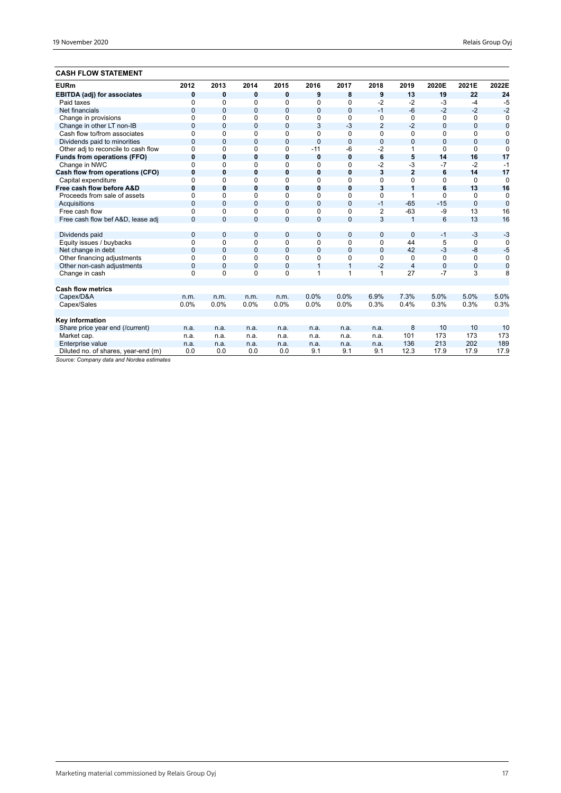# **CASH FLOW STATEMENT**

| <b>EURm</b>                         | 2012         | 2013           | 2014           | 2015           | 2016           | 2017           | 2018           | 2019           | 2020E          | 2021E        | 2022E          |
|-------------------------------------|--------------|----------------|----------------|----------------|----------------|----------------|----------------|----------------|----------------|--------------|----------------|
| <b>EBITDA (adj) for associates</b>  | 0            | 0              | 0              | 0              | 9              | 8              | 9              | 13             | 19             | 22           | 24             |
| Paid taxes                          | $\Omega$     | 0              | $\Omega$       | 0              | 0              | 0              | $-2$           | $-2$           | $-3$           | $-4$         | $-5$           |
| Net financials                      | $\mathbf{0}$ | $\overline{0}$ | $\mathbf{0}$   | $\mathbf{0}$   | 0              | $\mathbf{0}$   | $-1$           | $-6$           | $-2$           | $-2$         | $-2$           |
| Change in provisions                | $\Omega$     | $\Omega$       | $\Omega$       | 0              | $\Omega$       | 0              | $\Omega$       | $\Omega$       | 0              | 0            | 0              |
| Change in other LT non-IB           | $\mathbf 0$  | $\mathbf{0}$   | 0              | $\mathbf{0}$   | 3              | $-3$           | $\overline{2}$ | $-2$           | $\mathbf{0}$   | 0            | $\overline{0}$ |
| Cash flow to/from associates        | $\Omega$     | $\Omega$       | 0              | 0              | $\Omega$       | 0              | 0              | 0              | 0              | 0            | 0              |
| Dividends paid to minorities        | $\Omega$     | $\Omega$       | $\overline{0}$ | $\mathbf{0}$   | $\overline{0}$ | $\mathbf{0}$   | $\overline{0}$ | $\overline{0}$ | $\Omega$       | $\mathbf{0}$ | $\overline{0}$ |
| Other adj to reconcile to cash flow | 0            | $\Omega$       | 0              | 0              | $-11$          | -6             | $-2$           | 1              | $\Omega$       | $\Omega$     | $\Omega$       |
| <b>Funds from operations (FFO)</b>  | $\bf{0}$     | $\bf{0}$       | $\bf{0}$       | $\bf{0}$       | $\mathbf 0$    | $\bf{0}$       | 6              | 5              | 14             | 16           | 17             |
| Change in NWC                       | $\Omega$     | 0              | $\Omega$       | $\Omega$       | $\Omega$       | $\Omega$       | $-2$           | $-3$           | $-7$           | $-2$         | $-1$           |
| Cash flow from operations (CFO)     | $\bf{0}$     | $\bf{0}$       | 0              | 0              | $\bf{0}$       | 0              | 3              | $\overline{2}$ | 6              | 14           | 17             |
| Capital expenditure                 | $\Omega$     | $\Omega$       | 0              | 0              | 0              | 0              | 0              | $\Omega$       | 0              | 0            | $\mathbf 0$    |
| Free cash flow before A&D           | $\bf{0}$     | $\mathbf{0}$   | 0              | 0              | 0              | 0              | 3              | 1              | 6              | 13           | 16             |
| Proceeds from sale of assets        | $\Omega$     | $\Omega$       | $\Omega$       | $\Omega$       | $\Omega$       | $\Omega$       | $\Omega$       | 1              | $\Omega$       | $\Omega$     | 0              |
| Acquisitions                        | $\Omega$     | $\Omega$       | $\overline{0}$ | $\mathbf{0}$   | $\overline{0}$ | $\mathbf{0}$   | $-1$           | $-65$          | $-15$          | $\Omega$     | $\mathbf 0$    |
| Free cash flow                      | $\Omega$     | $\Omega$       | $\Omega$       | $\Omega$       | $\Omega$       | $\Omega$       | $\overline{2}$ | $-63$          | $-9$           | 13           | 16             |
| Free cash flow bef A&D, lease adj   | $\Omega$     | $\Omega$       | $\overline{0}$ | $\overline{0}$ | $\mathbf{0}$   | $\Omega$       | 3              | $\overline{1}$ | 6              | 13           | 16             |
|                                     |              |                |                |                |                |                |                |                |                |              |                |
| Dividends paid                      | $\mathbf{0}$ | $\mathbf 0$    | 0              | $\mathbf{0}$   | 0              | $\overline{0}$ | $\overline{0}$ | $\overline{0}$ | $-1$           | $-3$         | $-3$           |
| Equity issues / buybacks            | 0            | $\Omega$       | 0              | 0              | 0              | 0              | 0              | 44             | 5              | 0            | $\Omega$       |
| Net change in debt                  | $\mathbf 0$  | $\mathbf{0}$   | 0              | 0              | 0              | $\overline{0}$ | $\overline{0}$ | 42             | $-3$           | $-8$         | $-5$           |
| Other financing adjustments         | 0            | $\Omega$       | $\Omega$       | 0              | 0              | 0              | $\Omega$       | 0              | $\Omega$       | 0            | $\Omega$       |
| Other non-cash adjustments          | $\mathbf{0}$ | $\mathbf 0$    | $\overline{0}$ | 0              | 1              | $\mathbf{1}$   | $-2$           | $\overline{4}$ | $\overline{0}$ | 0            | $\mathbf 0$    |
| Change in cash                      | $\Omega$     | $\Omega$       | $\Omega$       | $\Omega$       | 1              | 1              | 1              | 27             | $-7$           | 3            | 8              |
|                                     |              |                |                |                |                |                |                |                |                |              |                |
| <b>Cash flow metrics</b>            |              |                |                |                |                |                |                |                |                |              |                |
| Capex/D&A                           | n.m.         | n.m.           | n.m.           | n.m.           | 0.0%           | 0.0%           | 6.9%           | 7.3%           | 5.0%           | 5.0%         | 5.0%           |
| Capex/Sales                         | 0.0%         | 0.0%           | 0.0%           | 0.0%           | 0.0%           | 0.0%           | 0.3%           | 0.4%           | 0.3%           | 0.3%         | 0.3%           |
|                                     |              |                |                |                |                |                |                |                |                |              |                |
| Key information                     |              |                |                |                |                |                |                |                |                |              |                |
| Share price year end (/current)     | n.a.         | n.a.           | n.a.           | n.a.           | n.a.           | n.a.           | n.a.           | 8              | 10             | 10           | 10             |
| Market cap.                         | n.a.         | n.a.           | n.a.           | n.a.           | n.a.           | n.a.           | n.a.           | 101            | 173            | 173          | 173            |
| Enterprise value                    | n.a.         | n.a.           | n.a.           | n.a.           | n.a.           | n.a.           | n.a.           | 136            | 213            | 202          | 189            |
| Diluted no. of shares, year-end (m) | 0.0          | 0.0            | 0.0            | 0.0            | 9.1            | 9.1            | 9.1            | 12.3           | 17.9           | 17.9         | 17.9           |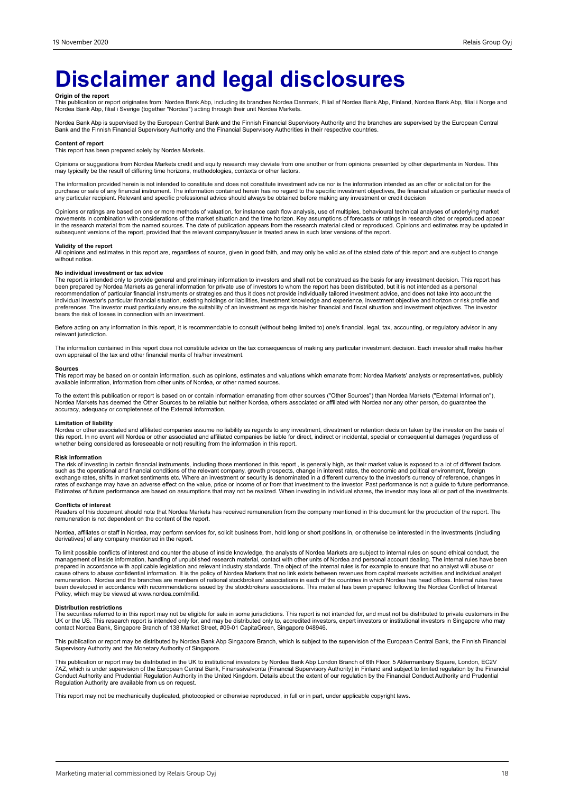# **Disclaimer and legal disclosures**

**Origin of the report**<br>This publication or report originates from: Nordea Bank Abp, including its branches Nordea Danmark, Filial af Nordea Bank Abp, Finland, Nordea Bank Abp, filial i Norge and<br>Nordea Bank Abp, filial i S

Nordea Bank Abp is supervised by the European Central Bank and the Finnish Financial Supervisory Authority and the branches are supervised by the European Central Bank and the Finnish Financial Supervisory Authority and the Financial Supervisory Authorities in their respective countries.

#### **Content of report**

This report has been prepared solely by Nordea Markets.

Opinions or suggestions from Nordea Markets credit and equity research may deviate from one another or from opinions presented by other departments in Nordea. This may typically be the result of differing time horizons, methodologies, contexts or other factors.

The information provided herein is not intended to constitute and does not constitute investment advice nor is the information intended as an offer or solicitation for the purchase or sale of any financial instrument. The information contained herein has no regard to the specific investment objectives, the financial situation or particular needs of any particular recipient. Relevant and specific professional advice should always be obtained before making any investment or credit decision

Opinions or ratings are based on one or more methods of valuation, for instance cash flow analysis, use of multiples, behavioural technical analyses of underlying market movements in combination with considerations of the market situation and the time horizon. Key assumptions of forecasts or ratings in research cited or reproduced appear<br>in the research material from the named sources. The subsequent versions of the report, provided that the relevant company/issuer is treated anew in such later versions of the report.

#### **Validity of the report**

All opinions and estimates in this report are, regardless of source, given in good faith, and may only be valid as of the stated date of this report and are subject to change without notice.

#### **No individual investment or tax advice**

The report is intended only to provide general and preliminary information to investors and shall not be construed as the basis for any investment decision. This report has<br>been prepared by Nordea Markets as general inform bears the risk of losses in connection with an investment.

Before acting on any information in this report, it is recommendable to consult (without being limited to) one's financial, legal, tax, accounting, or regulatory advisor in any relevant jurisdiction.

The information contained in this report does not constitute advice on the tax consequences of making any particular investment decision. Each investor shall make his/her own appraisal of the tax and other financial merits of his/her investment.

#### **Sources**

This report may be based on or contain information, such as opinions, estimates and valuations which emanate from: Nordea Markets' analysts or representatives, publicly available information, information from other units of Nordea, or other named sources.

To the extent this publication or report is based on or contain information emanating from other sources ("Other Sources") than Nordea Markets ("External Information"),<br>Nordea Markets has deemed the Other Sources to be rel accuracy, adequacy or completeness of the External Information.

#### **Limitation of liability**

Nordea or other associated and affiliated companies assume no liability as regards to any investment, divestment or retention decision taken by the investor on the basis of<br>this report. In no event will Nordea or other ass whether being considered as foreseeable or not) resulting from the information in this report.

#### **Risk information**

The risk of investing in certain financial instruments, including those mentioned in this report , is generally high, as their market value is exposed to a lot of different factors<br>such as the operational and financial con exchange rates, shifts in market sentiments etc. Where an investment or security is denominated in a different currency to the investor's currency of reference, changes in<br>rates of exchange may have an adverse effect on th Estimates of future performance are based on assumptions that may not be realized. When investing in individual shares, the investor may lose all or part of the investments.

#### **Conflicts of interest**

Readers of this document should note that Nordea Markets has received remuneration from the company mentioned in this document for the production of the report. The remuneration is not dependent on the content of the report.

Nordea, affiliates or staff in Nordea, may perform services for, solicit business from, hold long or short positions in, or otherwise be interested in the investments (including derivatives) of any company mentioned in the report.

To limit possible conflicts of interest and counter the abuse of inside knowledge, the analysts of Nordea Markets are subject to internal rules on sound ethical conduct, the management of inside information, handling of unpublished research material, contact with other units of Nordea and personal account dealing. The internal rules have been<br>prepared in accordance with applicable legislation cause others to abuse confidential information. It is the policy of Nordea Markets that no link exists between revenues from capital markets activities and individual analyst remuneration. Nordea and the branches are members of national stockbrokers' associations in each of the countries in which Nordea has head offices. Internal rules have<br>been developed in accordance with recommendations iss Policy, which may be viewed at www.nordea.com/mifid.

#### **Distribution restrictions**

The securities referred to in this report may not be eligible for sale in some jurisdictions. This report is not intended for, and must not be distributed to private customers in the UK or the US. This research report is intended only for, and may be distributed only to, accredited investors, expert investors or institutional investors in Singapore who may<br>contact Nordea Bank, Singapore Branch of 138 M

This publication or report may be distributed by Nordea Bank Abp Singapore Branch, which is subject to the supervision of the European Central Bank, the Finnish Financial<br>Supervisory Authority and the Monetary Authority of

This publication or report may be distributed in the UK to institutional investors by Nordea Bank Abp London Branch of 6th Floor, 5 Aldermanbury Square, London, EC2V<br>7AZ, which is under supervision of the European Central Conduct Authority and Prudential Regulation Authority in the United Kingdom. Details about the extent of our regulation by the Financial Conduct Authority and Prudential<br>Regulation Authority are available from us on reques

This report may not be mechanically duplicated, photocopied or otherwise reproduced, in full or in part, under applicable copyright laws.